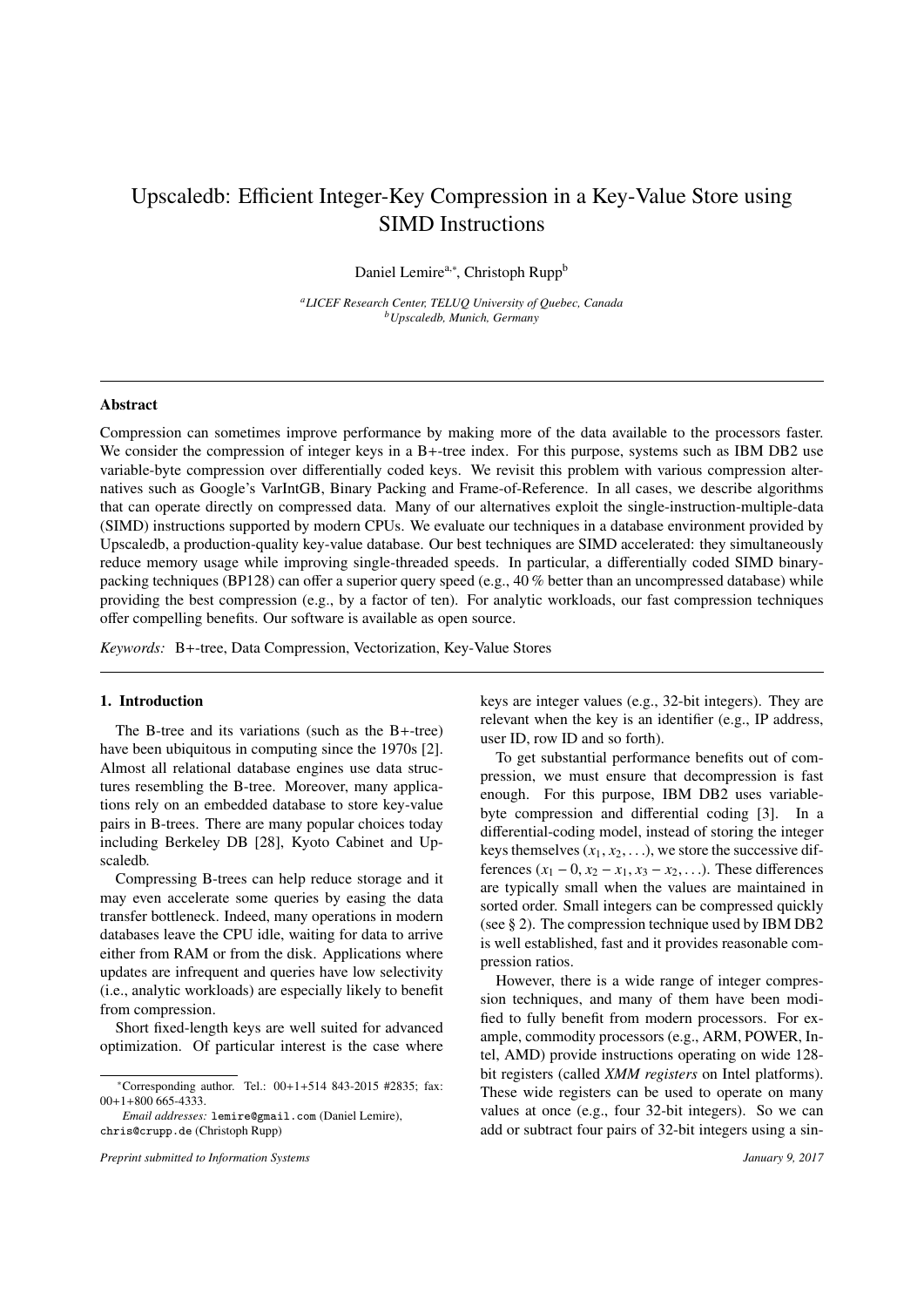# Upscaledb: Efficient Integer-Key Compression in a Key-Value Store using SIMD Instructions

Daniel Lemire<sup>a,∗</sup>, Christoph Rupp<sup>b</sup>

*<sup>a</sup>LICEF Research Center, TELUQ University of Quebec, Canada <sup>b</sup>Upscaledb, Munich, Germany*

## Abstract

Compression can sometimes improve performance by making more of the data available to the processors faster. We consider the compression of integer keys in a B+-tree index. For this purpose, systems such as IBM DB2 use variable-byte compression over differentially coded keys. We revisit this problem with various compression alternatives such as Google's VarIntGB, Binary Packing and Frame-of-Reference. In all cases, we describe algorithms that can operate directly on compressed data. Many of our alternatives exploit the single-instruction-multiple-data (SIMD) instructions supported by modern CPUs. We evaluate our techniques in a database environment provided by Upscaledb, a production-quality key-value database. Our best techniques are SIMD accelerated: they simultaneously reduce memory usage while improving single-threaded speeds. In particular, a differentially coded SIMD binarypacking techniques (BP128) can offer a superior query speed (e.g., 40 % better than an uncompressed database) while providing the best compression (e.g., by a factor of ten). For analytic workloads, our fast compression techniques offer compelling benefits. Our software is available as open source.

*Keywords:* B+-tree, Data Compression, Vectorization, Key-Value Stores

### 1. Introduction

The B-tree and its variations (such as the B+-tree) have been ubiquitous in computing since the 1970s [2]. Almost all relational database engines use data structures resembling the B-tree. Moreover, many applications rely on an embedded database to store key-value pairs in B-trees. There are many popular choices today including Berkeley DB [28], Kyoto Cabinet and Upscaledb.

Compressing B-trees can help reduce storage and it may even accelerate some queries by easing the data transfer bottleneck. Indeed, many operations in modern databases leave the CPU idle, waiting for data to arrive either from RAM or from the disk. Applications where updates are infrequent and queries have low selectivity (i.e., analytic workloads) are especially likely to benefit from compression.

Short fixed-length keys are well suited for advanced optimization. Of particular interest is the case where

*Email addresses:* lemire@gmail.com (Daniel Lemire), chris@crupp.de (Christoph Rupp)

*Preprint submitted to Information Systems January 9, 2017*

keys are integer values (e.g., 32-bit integers). They are relevant when the key is an identifier (e.g., IP address, user ID, row ID and so forth).

To get substantial performance benefits out of compression, we must ensure that decompression is fast enough. For this purpose, IBM DB2 uses variablebyte compression and differential coding [3]. In a differential-coding model, instead of storing the integer keys themselves  $(x_1, x_2, \ldots)$ , we store the successive differences  $(x_1 − 0, x_2 − x_1, x_3 − x_2, ...)$ . These differences are typically small when the values are maintained in sorted order. Small integers can be compressed quickly (see § 2). The compression technique used by IBM DB2 is well established, fast and it provides reasonable compression ratios.

However, there is a wide range of integer compression techniques, and many of them have been modified to fully benefit from modern processors. For example, commodity processors (e.g., ARM, POWER, Intel, AMD) provide instructions operating on wide 128 bit registers (called *XMM registers* on Intel platforms). These wide registers can be used to operate on many values at once (e.g., four 32-bit integers). So we can add or subtract four pairs of 32-bit integers using a sin-

<sup>∗</sup>Corresponding author. Tel.: 00+1+514 843-2015 #2835; fax: 00+1+800 665-4333.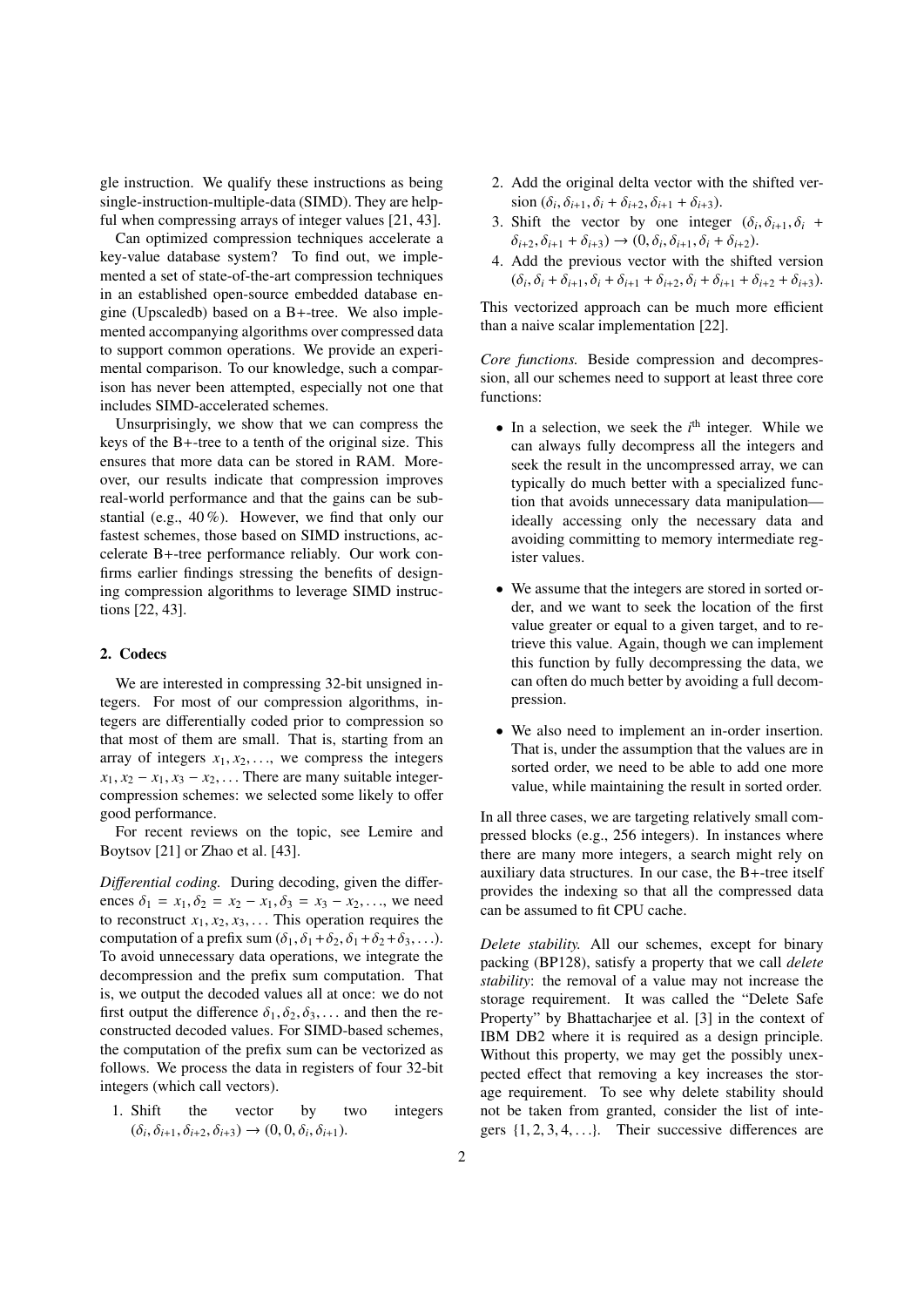gle instruction. We qualify these instructions as being single-instruction-multiple-data (SIMD). They are helpful when compressing arrays of integer values [21, 43].

Can optimized compression techniques accelerate a key-value database system? To find out, we implemented a set of state-of-the-art compression techniques in an established open-source embedded database engine (Upscaledb) based on a B+-tree. We also implemented accompanying algorithms over compressed data to support common operations. We provide an experimental comparison. To our knowledge, such a comparison has never been attempted, especially not one that includes SIMD-accelerated schemes.

Unsurprisingly, we show that we can compress the keys of the B+-tree to a tenth of the original size. This ensures that more data can be stored in RAM. Moreover, our results indicate that compression improves real-world performance and that the gains can be substantial (e.g., 40 %). However, we find that only our fastest schemes, those based on SIMD instructions, accelerate B+-tree performance reliably. Our work confirms earlier findings stressing the benefits of designing compression algorithms to leverage SIMD instructions [22, 43].

# 2. Codecs

We are interested in compressing 32-bit unsigned integers. For most of our compression algorithms, integers are differentially coded prior to compression so that most of them are small. That is, starting from an array of integers  $x_1, x_2, \ldots$ , we compress the integers  $x_1, x_2 - x_1, x_3 - x_2, \ldots$  There are many suitable integercompression schemes: we selected some likely to offer good performance.

For recent reviews on the topic, see Lemire and Boytsov [21] or Zhao et al. [43].

*Di*ff*erential coding.* During decoding, given the differences  $\delta_1 = x_1, \delta_2 = x_2 - x_1, \delta_3 = x_3 - x_2, \ldots$ , we need to reconstruct  $x_1, x_2, x_3, \ldots$  This operation requires the computation of a prefix sum  $(\delta_1, \delta_1+\delta_2, \delta_1+\delta_2+\delta_3, \ldots)$ . To avoid unnecessary data operations, we integrate the decompression and the prefix sum computation. That is, we output the decoded values all at once: we do not first output the difference  $\delta_1, \delta_2, \delta_3, \ldots$  and then the reconstructed decoded values. For SIMD-based schemes, the computation of the prefix sum can be vectorized as follows. We process the data in registers of four 32-bit integers (which call vectors).

1. Shift the vector by two integers  $(\delta_i, \delta_{i+1}, \delta_{i+2}, \delta_{i+3}) \to (0, 0, \delta_i, \delta_{i+1}).$ 

- 2. Add the original delta vector with the shifted ver- $\sin (\delta_i, \delta_{i+1}, \delta_i + \delta_{i+2}, \delta_{i+1} + \delta_{i+3}).$ <br>Shift the vector by one integr
- 3. Shift the vector by one integer  $(\delta_i, \delta_{i+1}, \delta_i + \delta_{i+1}, \delta_{i+1}, \delta_{i+1}, \delta_{i+1}, \delta_{i+1}, \delta_{i+1}, \delta_{i+1}, \delta_{i+1}, \delta_{i+1}, \delta_{i+1}, \delta_{i+1}, \delta_{i+1}, \delta_{i+1}, \delta_{i+1}, \delta_{i+1}, \delta_{i+1}, \delta_{i+1}, \delta_{i+1}, \delta_{i+1}, \delta_{i+1}, \delta_{i+1}, \delta_{i+1}, \delta_{i+1}, \delta_{i+1}, \delta$  $\delta_{i+2}, \delta_{i+1} + \delta_{i+3}$ )  $\rightarrow (0, \delta_i, \delta_{i+1}, \delta_i + \delta_{i+2})$ .
- 4. Add the previous vector with the shifted version  $(\delta_i, \delta_i + \delta_{i+1}, \delta_i + \delta_{i+1} + \delta_{i+2}, \delta_i + \delta_{i+1} + \delta_{i+2} + \delta_{i+3}).$

This vectorized approach can be much more efficient than a naive scalar implementation [22].

*Core functions.* Beside compression and decompression, all our schemes need to support at least three core functions:

- In a selection, we seek the *i*<sup>th</sup> integer. While we can always fully decompress all the integers and seek the result in the uncompressed array, we can typically do much better with a specialized function that avoids unnecessary data manipulation ideally accessing only the necessary data and avoiding committing to memory intermediate register values.
- We assume that the integers are stored in sorted order, and we want to seek the location of the first value greater or equal to a given target, and to retrieve this value. Again, though we can implement this function by fully decompressing the data, we can often do much better by avoiding a full decompression.
- We also need to implement an in-order insertion. That is, under the assumption that the values are in sorted order, we need to be able to add one more value, while maintaining the result in sorted order.

In all three cases, we are targeting relatively small compressed blocks (e.g., 256 integers). In instances where there are many more integers, a search might rely on auxiliary data structures. In our case, the B+-tree itself provides the indexing so that all the compressed data can be assumed to fit CPU cache.

*Delete stability.* All our schemes, except for binary packing (BP128), satisfy a property that we call *delete stability*: the removal of a value may not increase the storage requirement. It was called the "Delete Safe Property" by Bhattacharjee et al. [3] in the context of IBM DB2 where it is required as a design principle. Without this property, we may get the possibly unexpected effect that removing a key increases the storage requirement. To see why delete stability should not be taken from granted, consider the list of integers  $\{1, 2, 3, 4, \ldots\}$ . Their successive differences are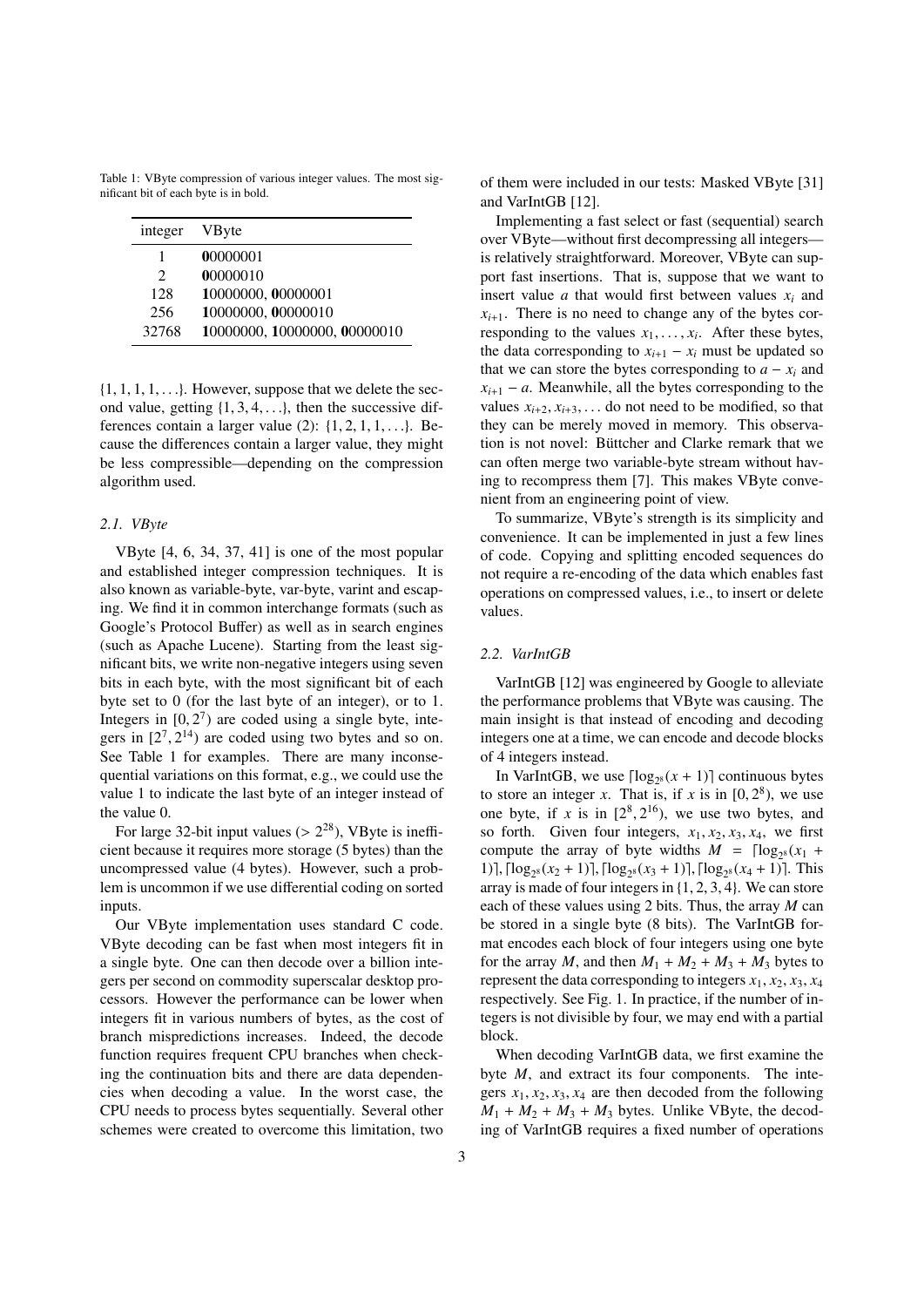Table 1: VByte compression of various integer values. The most significant bit of each byte is in bold.

| integer                     | <b>V</b> Byte                |
|-----------------------------|------------------------------|
| 1                           | 00000001                     |
| $\mathcal{D}_{\mathcal{L}}$ | 00000010                     |
| 128                         | 10000000, 00000001           |
| 256                         | 10000000, 00000010           |
| 32768                       | 10000000, 10000000, 00000010 |

 $\{1, 1, 1, 1, \ldots\}$ . However, suppose that we delete the second value, getting  $\{1, 3, 4, \ldots\}$ , then the successive differences contain a larger value  $(2)$ :  $\{1, 2, 1, 1, \ldots\}$ . Because the differences contain a larger value, they might be less compressible—depending on the compression algorithm used.

## *2.1. VByte*

VByte [4, 6, 34, 37, 41] is one of the most popular and established integer compression techniques. It is also known as variable-byte, var-byte, varint and escaping. We find it in common interchange formats (such as Google's Protocol Buffer) as well as in search engines (such as Apache Lucene). Starting from the least significant bits, we write non-negative integers using seven bits in each byte, with the most significant bit of each byte set to 0 (for the last byte of an integer), or to 1. Integers in  $[0, 2^7)$  are coded using a single byte, integers in  $[2^7, 2^{14})$  are coded using two bytes and so on gers in  $[2^7, 2^{14})$  are coded using two bytes and so on.<br>See Table 1 for examples There are many inconse-See Table 1 for examples. There are many inconsequential variations on this format, e.g., we could use the value 1 to indicate the last byte of an integer instead of the value 0.

For large 32-bit input values ( $> 2^{28}$ ), VByte is ineffi-<br>ent because it requires more storage (5 bytes) than the cient because it requires more storage (5 bytes) than the uncompressed value (4 bytes). However, such a problem is uncommon if we use differential coding on sorted inputs.

Our VByte implementation uses standard C code. VByte decoding can be fast when most integers fit in a single byte. One can then decode over a billion integers per second on commodity superscalar desktop processors. However the performance can be lower when integers fit in various numbers of bytes, as the cost of branch mispredictions increases. Indeed, the decode function requires frequent CPU branches when checking the continuation bits and there are data dependencies when decoding a value. In the worst case, the CPU needs to process bytes sequentially. Several other schemes were created to overcome this limitation, two of them were included in our tests: Masked VByte [31] and VarIntGB [12].

Implementing a fast select or fast (sequential) search over VByte—without first decompressing all integers is relatively straightforward. Moreover, VByte can support fast insertions. That is, suppose that we want to insert value  $a$  that would first between values  $x_i$  and  $x_{i+1}$ . There is no need to change any of the bytes corresponding to the values  $x_1, \ldots, x_i$ . After these bytes, the data corresponding to  $x_{i+1} = x_i$  must be undated so the data corresponding to  $x_{i+1} - x_i$  must be updated so that we can store the bytes corresponding to  $a - x_i$  and  $x_{i+1} - a$ . Meanwhile, all the bytes corresponding to the values  $x_{i+2}, x_{i+3}, \ldots$  do not need to be modified, so that they can be merely moved in memory. This observation is not novel: Büttcher and Clarke remark that we can often merge two variable-byte stream without having to recompress them [7]. This makes VByte convenient from an engineering point of view.

To summarize, VByte's strength is its simplicity and convenience. It can be implemented in just a few lines of code. Copying and splitting encoded sequences do not require a re-encoding of the data which enables fast operations on compressed values, i.e., to insert or delete values.

## *2.2. VarIntGB*

VarIntGB [12] was engineered by Google to alleviate the performance problems that VByte was causing. The main insight is that instead of encoding and decoding integers one at a time, we can encode and decode blocks of 4 integers instead.

In VarIntGB, we use  $\lceil \log_{2^8}(x + 1) \rceil$  continuous bytes to store an integer *x*. That is, if *x* is in  $[0, 2^8)$ , we use<br>one byte if *x* is in  $[2^8, 2^{16})$ , we use two bytes and one byte, if *x* is in  $[2^8, 2^{16})$ , we use two bytes, and<br>so forth. Given four integers, *x*, *x*, *x*, *x*, we first so forth. Given four integers,  $x_1, x_2, x_3, x_4$ , we first compute the array of byte widths  $M = \lceil \log_{2^8}(x_1 +$ 1),  $\lceil \log_{28}(x_2 + 1) \rceil$ ,  $\lceil \log_{28}(x_3 + 1) \rceil$ ,  $\lceil \log_{28}(x_4 + 1) \rceil$ . This array is made of four integers in {1, <sup>2</sup>, <sup>3</sup>, <sup>4</sup>}. We can store each of these values using 2 bits. Thus, the array *M* can be stored in a single byte (8 bits). The VarIntGB format encodes each block of four integers using one byte for the array *M*, and then  $M_1 + M_2 + M_3 + M_4$  bytes to represent the data corresponding to integers  $x_1, x_2, x_3, x_4$ respectively. See Fig. 1. In practice, if the number of integers is not divisible by four, we may end with a partial block.

When decoding VarIntGB data, we first examine the byte *M*, and extract its four components. The integers  $x_1, x_2, x_3, x_4$  are then decoded from the following  $M_1 + M_2 + M_3 + M_3$  bytes. Unlike VByte, the decoding of VarIntGB requires a fixed number of operations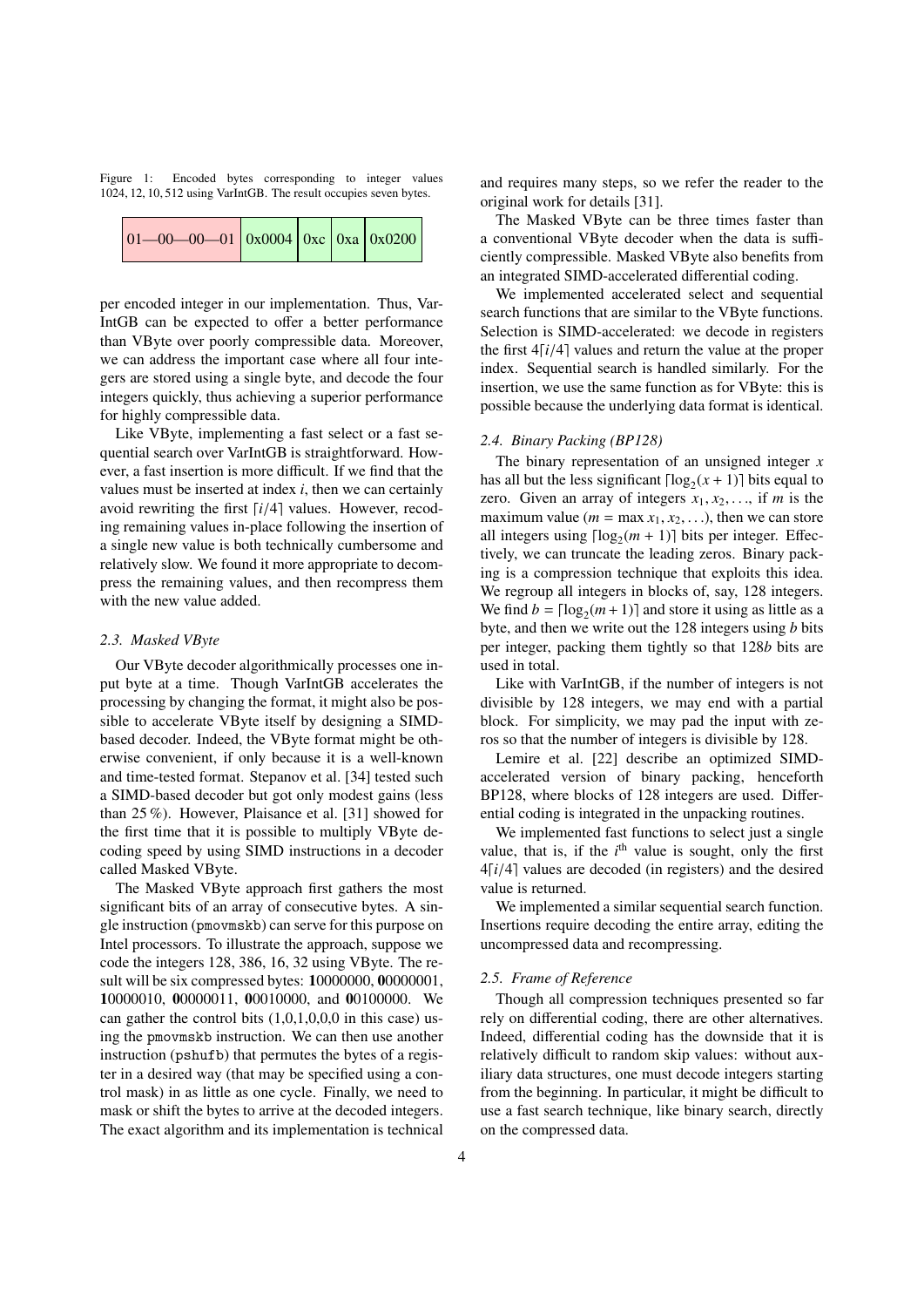Figure 1: Encoded bytes corresponding to integer values <sup>1024</sup>, <sup>12</sup>, <sup>10</sup>, 512 using VarIntGB. The result occupies seven bytes.

| $\vert 01 - 00 - 00 - 01 \vert 0x0004 \vert 0xc \vert 0xa \vert 0x0200 \vert$ |  |  |  |  |  |
|-------------------------------------------------------------------------------|--|--|--|--|--|
|-------------------------------------------------------------------------------|--|--|--|--|--|

per encoded integer in our implementation. Thus, Var-IntGB can be expected to offer a better performance than VByte over poorly compressible data. Moreover, we can address the important case where all four integers are stored using a single byte, and decode the four integers quickly, thus achieving a superior performance for highly compressible data.

Like VByte, implementing a fast select or a fast sequential search over VarIntGB is straightforward. However, a fast insertion is more difficult. If we find that the values must be inserted at index *i*, then we can certainly avoid rewriting the first  $\lceil i/4 \rceil$  values. However, recoding remaining values in-place following the insertion of a single new value is both technically cumbersome and relatively slow. We found it more appropriate to decompress the remaining values, and then recompress them with the new value added.

## *2.3. Masked VByte*

Our VByte decoder algorithmically processes one input byte at a time. Though VarIntGB accelerates the processing by changing the format, it might also be possible to accelerate VByte itself by designing a SIMDbased decoder. Indeed, the VByte format might be otherwise convenient, if only because it is a well-known and time-tested format. Stepanov et al. [34] tested such a SIMD-based decoder but got only modest gains (less than 25 %). However, Plaisance et al. [31] showed for the first time that it is possible to multiply VByte decoding speed by using SIMD instructions in a decoder called Masked VByte.

The Masked VByte approach first gathers the most significant bits of an array of consecutive bytes. A single instruction (pmovmskb) can serve for this purpose on Intel processors. To illustrate the approach, suppose we code the integers 128, 386, 16, 32 using VByte. The result will be six compressed bytes: 10000000, 00000001, 10000010, 00000011, 00010000, and 00100000. We can gather the control bits  $(1,0,1,0,0,0)$  in this case) using the pmovmskb instruction. We can then use another instruction (pshufb) that permutes the bytes of a register in a desired way (that may be specified using a control mask) in as little as one cycle. Finally, we need to mask or shift the bytes to arrive at the decoded integers. The exact algorithm and its implementation is technical

and requires many steps, so we refer the reader to the original work for details [31].

The Masked VByte can be three times faster than a conventional VByte decoder when the data is sufficiently compressible. Masked VByte also benefits from an integrated SIMD-accelerated differential coding.

We implemented accelerated select and sequential search functions that are similar to the VByte functions. Selection is SIMD-accelerated: we decode in registers the first  $4[i/4]$  values and return the value at the proper index. Sequential search is handled similarly. For the insertion, we use the same function as for VByte: this is possible because the underlying data format is identical.

## *2.4. Binary Packing (BP128)*

The binary representation of an unsigned integer *x* has all but the less significant  $\lceil \log_2(x + 1) \rceil$  bits equal to zero. Given an array of integers  $x_1, x_2, \ldots$ , if *m* is the maximum value ( $m = \max x_1, x_2, \ldots$ ), then we can store all integers using  $\lceil \log_2(m + 1) \rceil$  bits per integer. Effectively, we can truncate the leading zeros. Binary packing is a compression technique that exploits this idea. We regroup all integers in blocks of, say, 128 integers. We find  $b = \lceil \log_2(m+1) \rceil$  and store it using as little as a byte, and then we write out the 128 integers using *b* bits per integer, packing them tightly so that 128*b* bits are used in total.

Like with VarIntGB, if the number of integers is not divisible by 128 integers, we may end with a partial block. For simplicity, we may pad the input with zeros so that the number of integers is divisible by 128.

Lemire et al. [22] describe an optimized SIMDaccelerated version of binary packing, henceforth BP128, where blocks of 128 integers are used. Differential coding is integrated in the unpacking routines.

We implemented fast functions to select just a single value, that is, if the  $i<sup>th</sup>$  value is sought, only the first  $4[i/4]$  values are decoded (in registers) and the desired value is returned.

We implemented a similar sequential search function. Insertions require decoding the entire array, editing the uncompressed data and recompressing.

#### *2.5. Frame of Reference*

Though all compression techniques presented so far rely on differential coding, there are other alternatives. Indeed, differential coding has the downside that it is relatively difficult to random skip values: without auxiliary data structures, one must decode integers starting from the beginning. In particular, it might be difficult to use a fast search technique, like binary search, directly on the compressed data.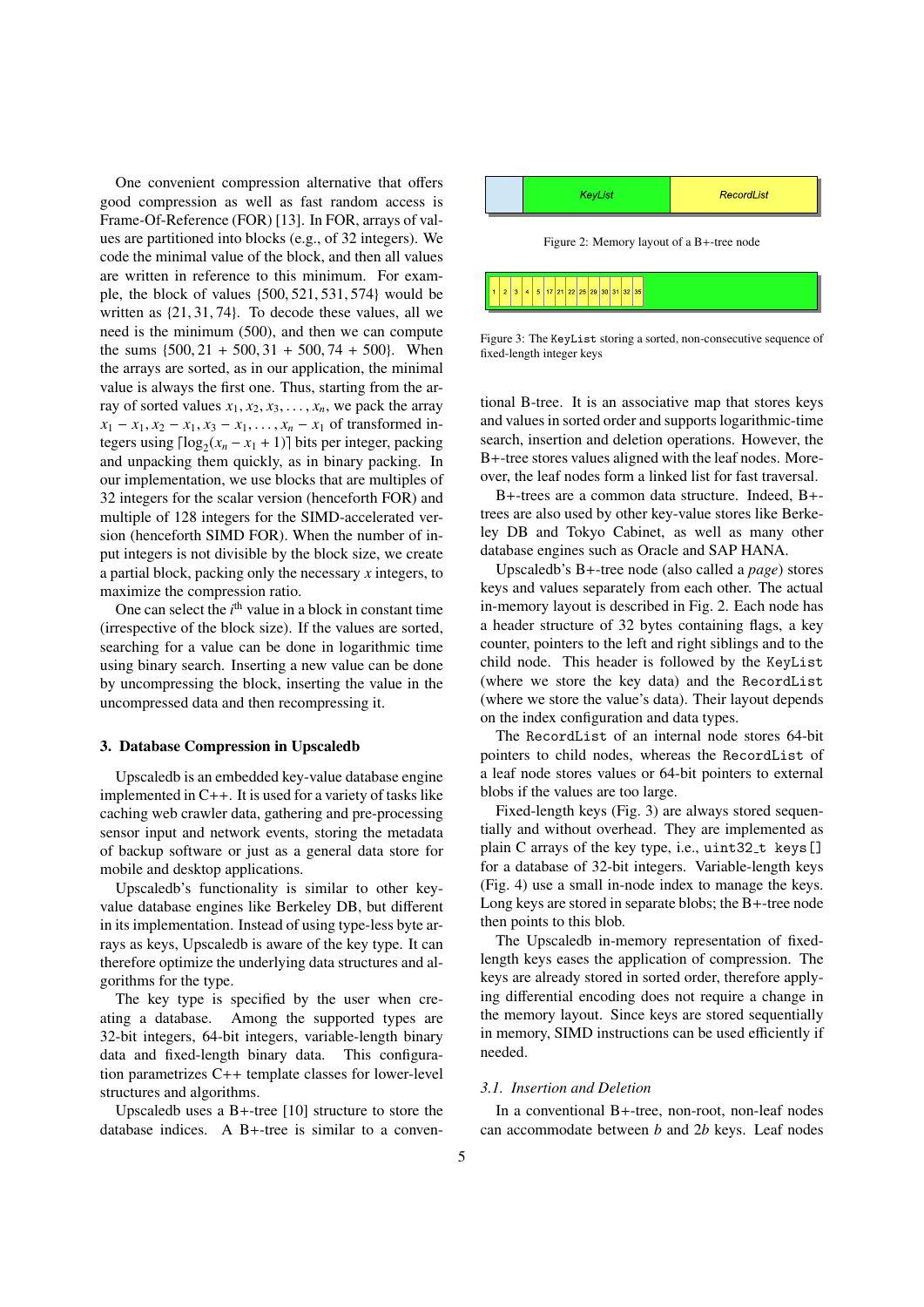One convenient compression alternative that offers good compression as well as fast random access is Frame-Of-Reference (FOR) [13]. In FOR, arrays of values are partitioned into blocks (e.g., of 32 integers). We code the minimal value of the block, and then all values are written in reference to this minimum. For example, the block of values {500, <sup>521</sup>, <sup>531</sup>, <sup>574</sup>} would be written as {21, <sup>31</sup>, <sup>74</sup>}. To decode these values, all we need is the minimum (500), and then we can compute the sums  $\{500, 21 + 500, 31 + 500, 74 + 500\}$ . When the arrays are sorted, as in our application, the minimal value is always the first one. Thus, starting from the array of sorted values  $x_1, x_2, x_3, \ldots, x_n$ , we pack the array  $x_1 - x_1, x_2 - x_1, x_3 - x_1, \ldots, x_n - x_1$  of transformed integers using  $\lceil \log_2(x_n - x_1 + 1) \rceil$  bits per integer, packing and unpacking them quickly, as in binary packing. In our implementation, we use blocks that are multiples of 32 integers for the scalar version (henceforth FOR) and multiple of 128 integers for the SIMD-accelerated version (henceforth SIMD FOR). When the number of input integers is not divisible by the block size, we create a partial block, packing only the necessary *x* integers, to maximize the compression ratio.

One can select the  $i<sup>th</sup>$  value in a block in constant time (irrespective of the block size). If the values are sorted, searching for a value can be done in logarithmic time using binary search. Inserting a new value can be done by uncompressing the block, inserting the value in the uncompressed data and then recompressing it.

#### 3. Database Compression in Upscaledb

Upscaledb is an embedded key-value database engine implemented in  $C_{++}$ . It is used for a variety of tasks like caching web crawler data, gathering and pre-processing sensor input and network events, storing the metadata of backup software or just as a general data store for mobile and desktop applications.

Upscaledb's functionality is similar to other keyvalue database engines like Berkeley DB, but different in its implementation. Instead of using type-less byte arrays as keys, Upscaledb is aware of the key type. It can therefore optimize the underlying data structures and algorithms for the type.

The key type is specified by the user when creating a database. Among the supported types are 32-bit integers, 64-bit integers, variable-length binary data and fixed-length binary data. This configuration parametrizes C++ template classes for lower-level structures and algorithms.

Upscaledb uses a B+-tree [10] structure to store the database indices. A B+-tree is similar to a conven-



Figure 3: The KeyList storing a sorted, non-consecutive sequence of fixed-length integer keys

tional B-tree. It is an associative map that stores keys and values in sorted order and supports logarithmic-time search, insertion and deletion operations. However, the B+-tree stores values aligned with the leaf nodes. Moreover, the leaf nodes form a linked list for fast traversal.

B+-trees are a common data structure. Indeed, B+ trees are also used by other key-value stores like Berkeley DB and Tokyo Cabinet, as well as many other database engines such as Oracle and SAP HANA.

Upscaledb's B+-tree node (also called a *page*) stores keys and values separately from each other. The actual in-memory layout is described in Fig. 2. Each node has a header structure of 32 bytes containing flags, a key counter, pointers to the left and right siblings and to the child node. This header is followed by the KeyList (where we store the key data) and the RecordList (where we store the value's data). Their layout depends on the index configuration and data types.

The RecordList of an internal node stores 64-bit pointers to child nodes, whereas the RecordList of a leaf node stores values or 64-bit pointers to external blobs if the values are too large.

Fixed-length keys (Fig. 3) are always stored sequentially and without overhead. They are implemented as plain C arrays of the key type, i.e., uint32\_t keys[] for a database of 32-bit integers. Variable-length keys (Fig. 4) use a small in-node index to manage the keys. Long keys are stored in separate blobs; the B+-tree node then points to this blob.

The Upscaledb in-memory representation of fixedlength keys eases the application of compression. The keys are already stored in sorted order, therefore applying differential encoding does not require a change in the memory layout. Since keys are stored sequentially in memory, SIMD instructions can be used efficiently if needed.

#### *3.1. Insertion and Deletion*

In a conventional B+-tree, non-root, non-leaf nodes can accommodate between *b* and 2*b* keys. Leaf nodes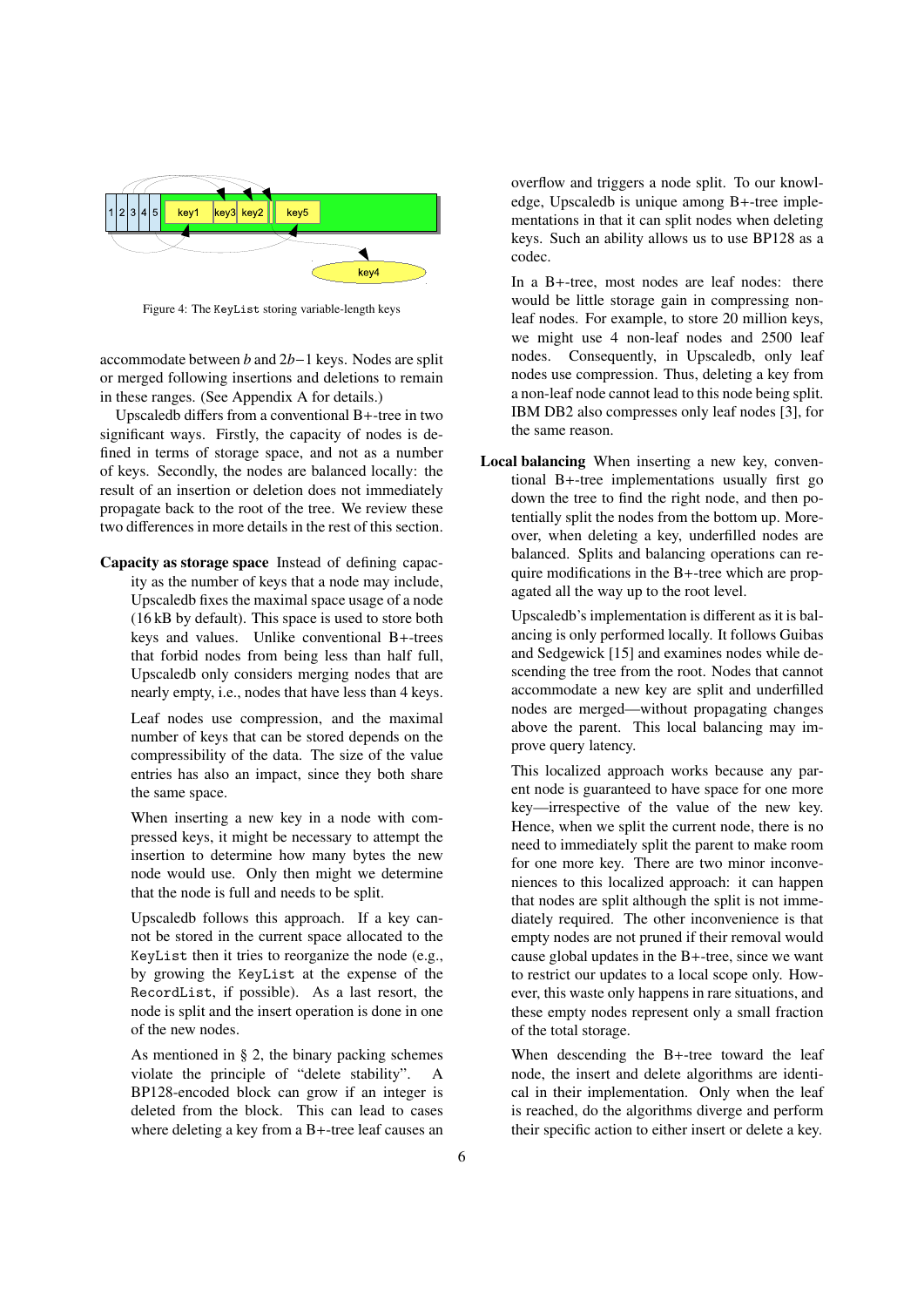

Figure 4: The KeyList storing variable-length keys

accommodate between *b* and 2*b*−1 keys. Nodes are split or merged following insertions and deletions to remain in these ranges. (See Appendix A for details.)

Upscaledb differs from a conventional B+-tree in two significant ways. Firstly, the capacity of nodes is defined in terms of storage space, and not as a number of keys. Secondly, the nodes are balanced locally: the result of an insertion or deletion does not immediately propagate back to the root of the tree. We review these two differences in more details in the rest of this section.

Capacity as storage space Instead of defining capacity as the number of keys that a node may include, Upscaledb fixes the maximal space usage of a node (16 kB by default). This space is used to store both keys and values. Unlike conventional B+-trees that forbid nodes from being less than half full, Upscaledb only considers merging nodes that are nearly empty, i.e., nodes that have less than 4 keys.

Leaf nodes use compression, and the maximal number of keys that can be stored depends on the compressibility of the data. The size of the value entries has also an impact, since they both share the same space.

When inserting a new key in a node with compressed keys, it might be necessary to attempt the insertion to determine how many bytes the new node would use. Only then might we determine that the node is full and needs to be split.

Upscaledb follows this approach. If a key cannot be stored in the current space allocated to the KeyList then it tries to reorganize the node (e.g., by growing the KeyList at the expense of the RecordList, if possible). As a last resort, the node is split and the insert operation is done in one of the new nodes.

As mentioned in § 2, the binary packing schemes violate the principle of "delete stability". A BP128-encoded block can grow if an integer is deleted from the block. This can lead to cases where deleting a key from a B+-tree leaf causes an

overflow and triggers a node split. To our knowledge, Upscaledb is unique among B+-tree implementations in that it can split nodes when deleting keys. Such an ability allows us to use BP128 as a codec.

In a B+-tree, most nodes are leaf nodes: there would be little storage gain in compressing nonleaf nodes. For example, to store 20 million keys, we might use 4 non-leaf nodes and 2500 leaf nodes. Consequently, in Upscaledb, only leaf nodes use compression. Thus, deleting a key from a non-leaf node cannot lead to this node being split. IBM DB2 also compresses only leaf nodes [3], for the same reason.

Local balancing When inserting a new key, conventional B+-tree implementations usually first go down the tree to find the right node, and then potentially split the nodes from the bottom up. Moreover, when deleting a key, underfilled nodes are balanced. Splits and balancing operations can require modifications in the B+-tree which are propagated all the way up to the root level.

Upscaledb's implementation is different as it is balancing is only performed locally. It follows Guibas and Sedgewick [15] and examines nodes while descending the tree from the root. Nodes that cannot accommodate a new key are split and underfilled nodes are merged—without propagating changes above the parent. This local balancing may improve query latency.

This localized approach works because any parent node is guaranteed to have space for one more key—irrespective of the value of the new key. Hence, when we split the current node, there is no need to immediately split the parent to make room for one more key. There are two minor inconveniences to this localized approach: it can happen that nodes are split although the split is not immediately required. The other inconvenience is that empty nodes are not pruned if their removal would cause global updates in the B+-tree, since we want to restrict our updates to a local scope only. However, this waste only happens in rare situations, and these empty nodes represent only a small fraction of the total storage.

When descending the B+-tree toward the leaf node, the insert and delete algorithms are identical in their implementation. Only when the leaf is reached, do the algorithms diverge and perform their specific action to either insert or delete a key.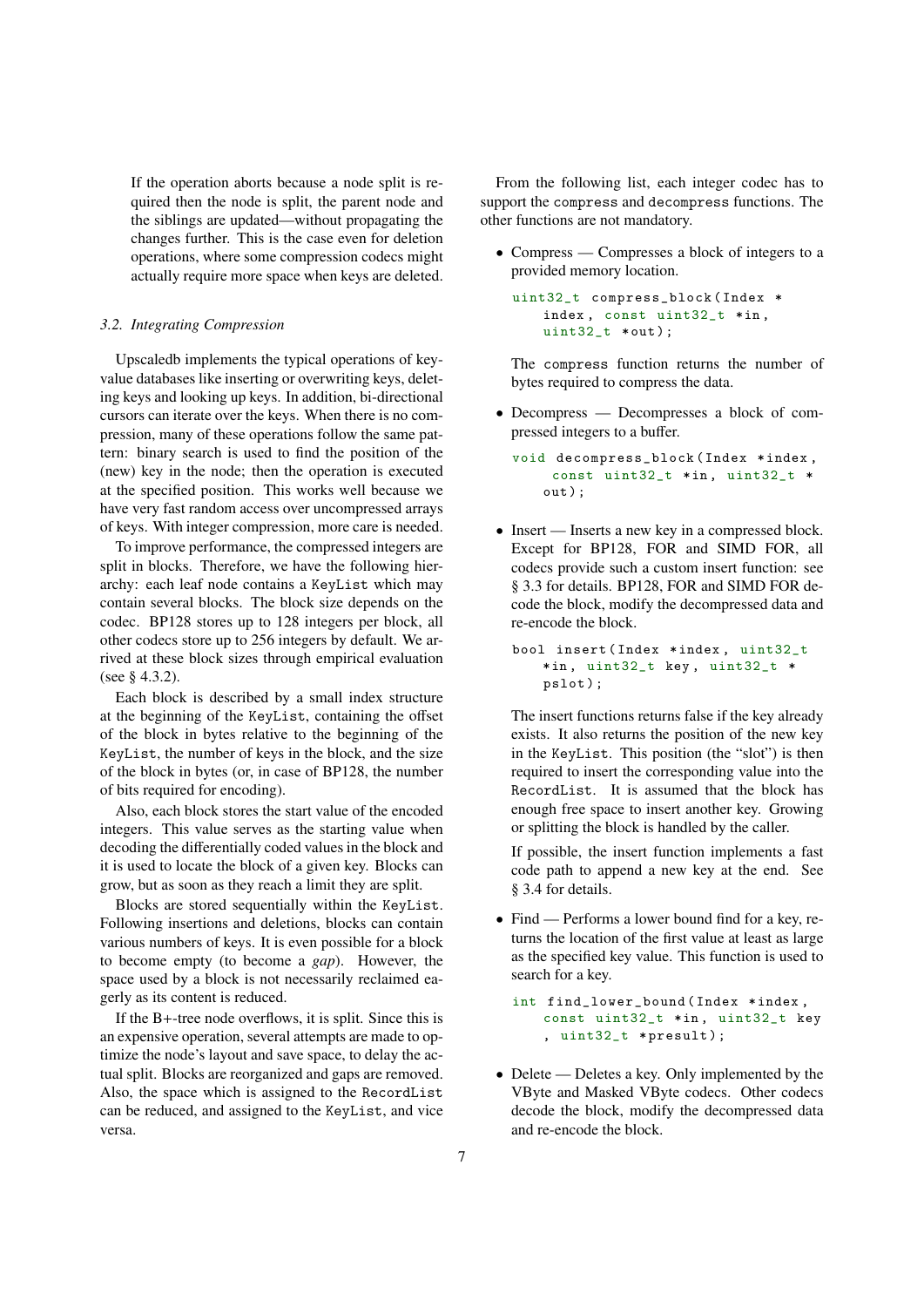If the operation aborts because a node split is required then the node is split, the parent node and the siblings are updated—without propagating the changes further. This is the case even for deletion operations, where some compression codecs might actually require more space when keys are deleted.

## *3.2. Integrating Compression*

Upscaledb implements the typical operations of keyvalue databases like inserting or overwriting keys, deleting keys and looking up keys. In addition, bi-directional cursors can iterate over the keys. When there is no compression, many of these operations follow the same pattern: binary search is used to find the position of the (new) key in the node; then the operation is executed at the specified position. This works well because we have very fast random access over uncompressed arrays of keys. With integer compression, more care is needed.

To improve performance, the compressed integers are split in blocks. Therefore, we have the following hierarchy: each leaf node contains a KeyList which may contain several blocks. The block size depends on the codec. BP128 stores up to 128 integers per block, all other codecs store up to 256 integers by default. We arrived at these block sizes through empirical evaluation (see § 4.3.2).

Each block is described by a small index structure at the beginning of the KeyList, containing the offset of the block in bytes relative to the beginning of the KeyList, the number of keys in the block, and the size of the block in bytes (or, in case of BP128, the number of bits required for encoding).

Also, each block stores the start value of the encoded integers. This value serves as the starting value when decoding the differentially coded values in the block and it is used to locate the block of a given key. Blocks can grow, but as soon as they reach a limit they are split.

Blocks are stored sequentially within the KeyList. Following insertions and deletions, blocks can contain various numbers of keys. It is even possible for a block to become empty (to become a *gap*). However, the space used by a block is not necessarily reclaimed eagerly as its content is reduced.

If the B+-tree node overflows, it is split. Since this is an expensive operation, several attempts are made to optimize the node's layout and save space, to delay the actual split. Blocks are reorganized and gaps are removed. Also, the space which is assigned to the RecordList can be reduced, and assigned to the KeyList, and vice versa.

From the following list, each integer codec has to support the compress and decompress functions. The other functions are not mandatory.

• Compress — Compresses a block of integers to a provided memory location.

```
uint32_t compress_block ( Index *
   index , const uint32_t *in ,
   uint32_t *out) ;
```
The compress function returns the number of bytes required to compress the data.

• Decompress — Decompresses a block of compressed integers to a buffer.

```
void decompress_block ( Index *index ,
     const uint 32_t *in, uint 32_t *
   out ) ;
```
• Insert — Inserts a new key in a compressed block. Except for BP128, FOR and SIMD FOR, all codecs provide such a custom insert function: see § 3.3 for details. BP128, FOR and SIMD FOR decode the block, modify the decompressed data and re-encode the block.

```
bool insert ( Index *index , uint32_t
    *in , uint32_t key , uint32_t *
    pslot ) ;
```
The insert functions returns false if the key already exists. It also returns the position of the new key in the KeyList. This position (the "slot") is then required to insert the corresponding value into the RecordList. It is assumed that the block has enough free space to insert another key. Growing or splitting the block is handled by the caller.

If possible, the insert function implements a fast code path to append a new key at the end. See § 3.4 for details.

• Find — Performs a lower bound find for a key, returns the location of the first value at least as large as the specified key value. This function is used to search for a key.

```
int find_lower_bound ( Index *index ,
   const uint32_t *in, uint32_t key
    , uint32_t * presult ) ;
```
• Delete — Deletes a key. Only implemented by the VByte and Masked VByte codecs. Other codecs decode the block, modify the decompressed data and re-encode the block.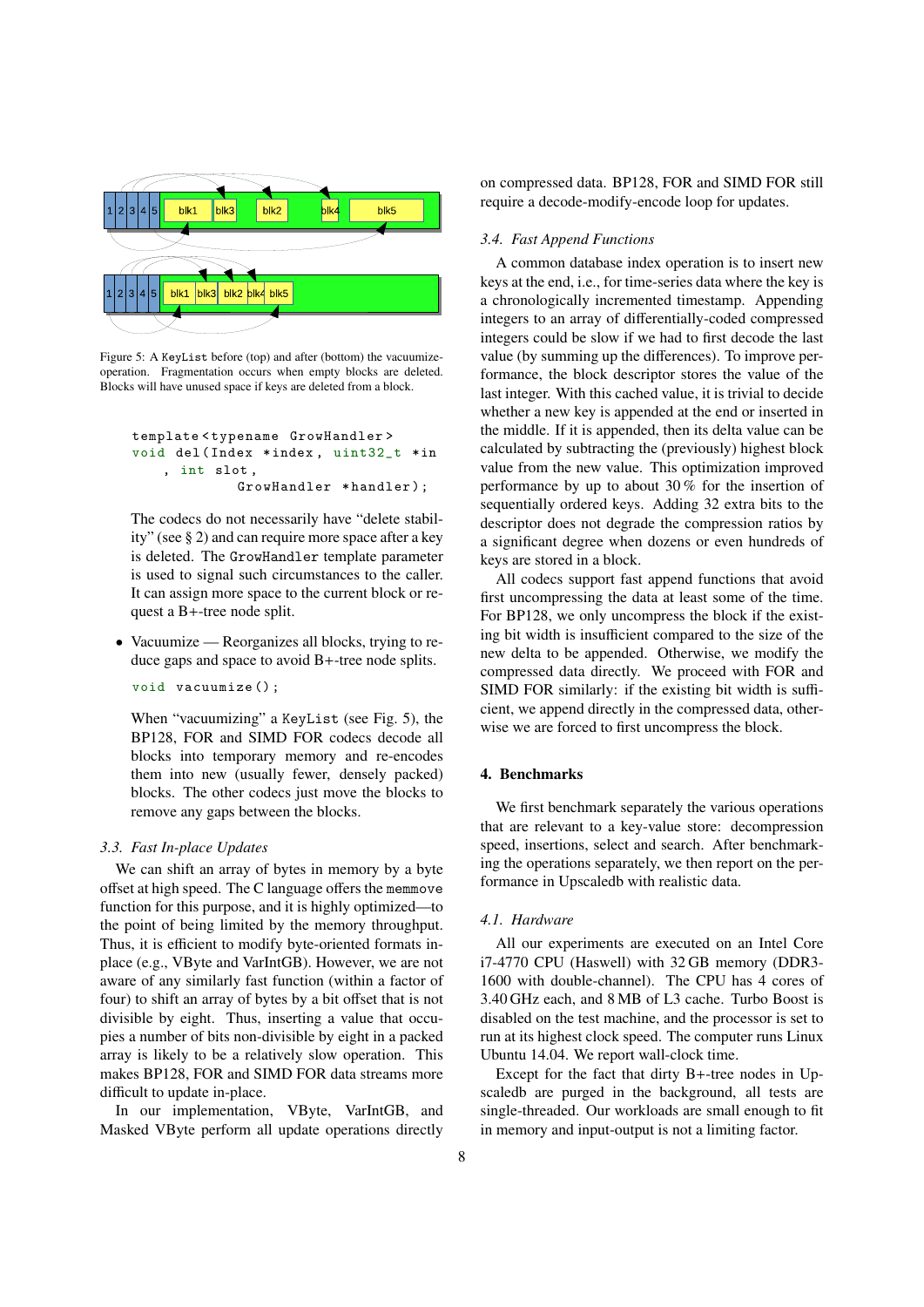

Figure 5: A KeyList before (top) and after (bottom) the vacuumizeoperation. Fragmentation occurs when empty blocks are deleted. Blocks will have unused space if keys are deleted from a block.

```
template < typename GrowHandler >
void del( Index *index , uint32_t *in
     , int slot ,
             GrowHandler *handler);
```
The codecs do not necessarily have "delete stability" (see § 2) and can require more space after a key is deleted. The GrowHandler template parameter is used to signal such circumstances to the caller. It can assign more space to the current block or request a B+-tree node split.

• Vacuumize — Reorganizes all blocks, trying to reduce gaps and space to avoid B+-tree node splits.

void vacuumize () ;

When "vacuumizing" a KeyList (see Fig. 5), the BP128, FOR and SIMD FOR codecs decode all blocks into temporary memory and re-encodes them into new (usually fewer, densely packed) blocks. The other codecs just move the blocks to remove any gaps between the blocks.

#### *3.3. Fast In-place Updates*

We can shift an array of bytes in memory by a byte offset at high speed. The C language offers the memmove function for this purpose, and it is highly optimized—to the point of being limited by the memory throughput. Thus, it is efficient to modify byte-oriented formats inplace (e.g., VByte and VarIntGB). However, we are not aware of any similarly fast function (within a factor of four) to shift an array of bytes by a bit offset that is not divisible by eight. Thus, inserting a value that occupies a number of bits non-divisible by eight in a packed array is likely to be a relatively slow operation. This makes BP128, FOR and SIMD FOR data streams more difficult to update in-place.

In our implementation, VByte, VarIntGB, and Masked VByte perform all update operations directly

on compressed data. BP128, FOR and SIMD FOR still require a decode-modify-encode loop for updates.

## *3.4. Fast Append Functions*

A common database index operation is to insert new keys at the end, i.e., for time-series data where the key is a chronologically incremented timestamp. Appending integers to an array of differentially-coded compressed integers could be slow if we had to first decode the last value (by summing up the differences). To improve performance, the block descriptor stores the value of the last integer. With this cached value, it is trivial to decide whether a new key is appended at the end or inserted in the middle. If it is appended, then its delta value can be calculated by subtracting the (previously) highest block value from the new value. This optimization improved performance by up to about 30 % for the insertion of sequentially ordered keys. Adding 32 extra bits to the descriptor does not degrade the compression ratios by a significant degree when dozens or even hundreds of keys are stored in a block.

All codecs support fast append functions that avoid first uncompressing the data at least some of the time. For BP128, we only uncompress the block if the existing bit width is insufficient compared to the size of the new delta to be appended. Otherwise, we modify the compressed data directly. We proceed with FOR and SIMD FOR similarly: if the existing bit width is sufficient, we append directly in the compressed data, otherwise we are forced to first uncompress the block.

## 4. Benchmarks

We first benchmark separately the various operations that are relevant to a key-value store: decompression speed, insertions, select and search. After benchmarking the operations separately, we then report on the performance in Upscaledb with realistic data.

## *4.1. Hardware*

All our experiments are executed on an Intel Core i7-4770 CPU (Haswell) with 32 GB memory (DDR3- 1600 with double-channel). The CPU has 4 cores of 3.40 GHz each, and 8 MB of L3 cache. Turbo Boost is disabled on the test machine, and the processor is set to run at its highest clock speed. The computer runs Linux Ubuntu 14.04. We report wall-clock time.

Except for the fact that dirty B+-tree nodes in Upscaledb are purged in the background, all tests are single-threaded. Our workloads are small enough to fit in memory and input-output is not a limiting factor.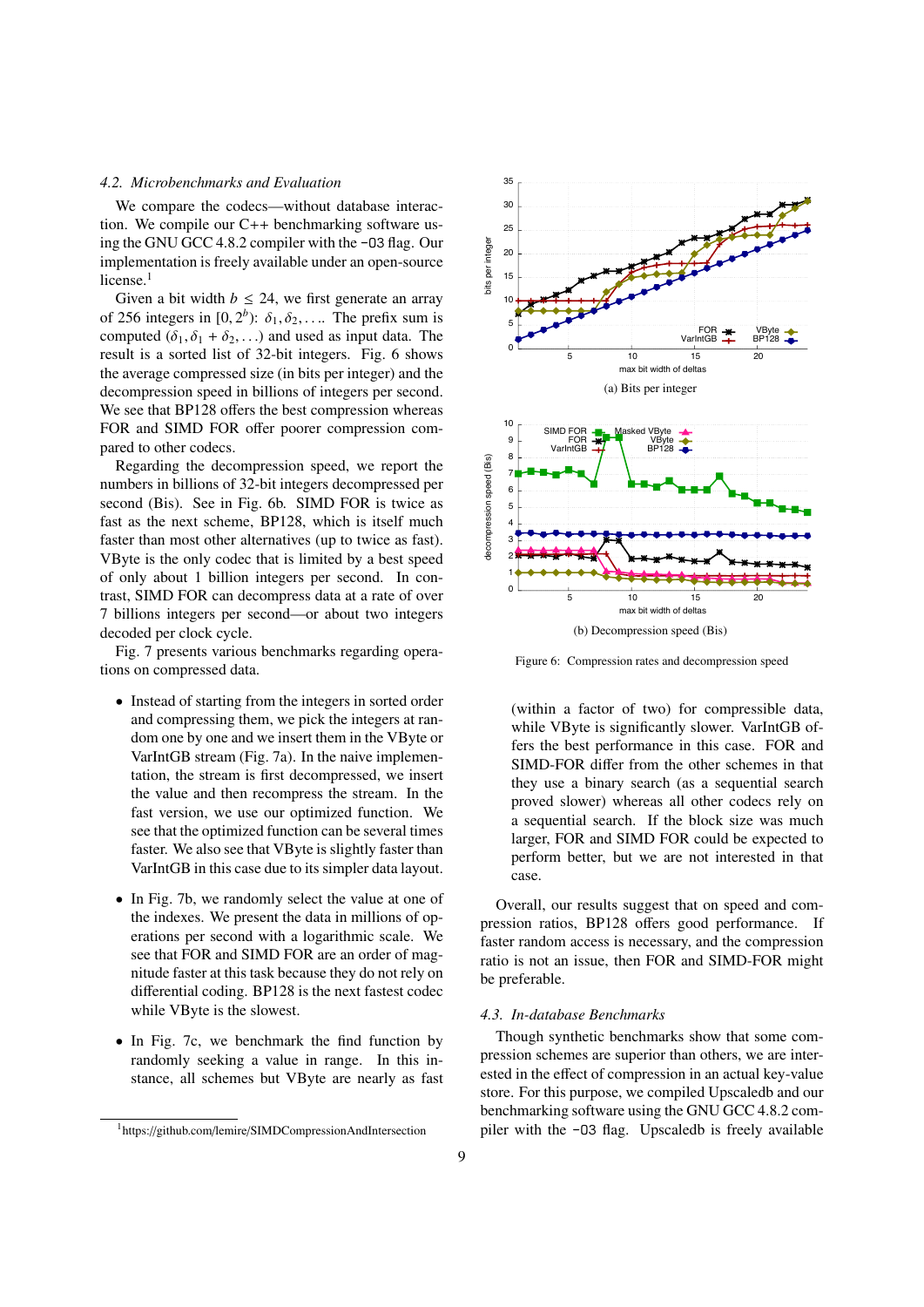#### 4.2. Microbenchmarks and Evaluation

We compare the codecs—without database interaction. We compile our  $C++$  benchmarking software using the GNU GCC 4.8.2 compiler with the -03 flag. Our implementation is freely available under an open-source license. $1$ 

Given a bit width  $b \le 24$ , we first generate an array of 256 integers in [0, 2<sup>b</sup>):  $\delta_1, \delta_2, \ldots$  The prefix sum is computed  $(\delta_1, \delta_1 + \delta_2, ...)$  and used as input data. The result is a sorted list of 32-bit integers. Fig. 6 shows the average compressed size (in bits per integer) and the decompression speed in billions of integers per second. We see that BP128 offers the best compression whereas FOR and SIMD FOR offer poorer compression compared to other codecs.

Regarding the decompression speed, we report the numbers in billions of 32-bit integers decompressed per second (Bis). See in Fig. 6b. SIMD FOR is twice as fast as the next scheme, BP128, which is itself much faster than most other alternatives (up to twice as fast). VByte is the only codec that is limited by a best speed of only about 1 billion integers per second. In contrast, SIMD FOR can decompress data at a rate of over 7 billions integers per second—or about two integers decoded per clock cycle.

Fig. 7 presents various benchmarks regarding operations on compressed data.

- Instead of starting from the integers in sorted order and compressing them, we pick the integers at random one by one and we insert them in the VByte or VarIntGB stream (Fig. 7a). In the naive implementation, the stream is first decompressed, we insert the value and then recompress the stream. In the fast version, we use our optimized function. We see that the optimized function can be several times faster. We also see that VByte is slightly faster than VarIntGB in this case due to its simpler data layout.
- In Fig. 7b, we randomly select the value at one of the indexes. We present the data in millions of operations per second with a logarithmic scale. We see that FOR and SIMD FOR are an order of magnitude faster at this task because they do not rely on differential coding. BP128 is the next fastest codec while VByte is the slowest.
- In Fig. 7c, we benchmark the find function by randomly seeking a value in range. In this instance, all schemes but VByte are nearly as fast



Figure 6: Compression rates and decompression speed

(within a factor of two) for compressible data, while VByte is significantly slower. VarIntGB offers the best performance in this case. FOR and SIMD-FOR differ from the other schemes in that they use a binary search (as a sequential search proved slower) whereas all other codecs rely on a sequential search. If the block size was much larger, FOR and SIMD FOR could be expected to perform better, but we are not interested in that case.

Overall, our results suggest that on speed and compression ratios, BP128 offers good performance. If faster random access is necessary, and the compression ratio is not an issue, then FOR and SIMD-FOR might be preferable.

#### 4.3. In-database Benchmarks

Though synthetic benchmarks show that some compression schemes are superior than others, we are interested in the effect of compression in an actual key-value store. For this purpose, we compiled Upscaledb and our benchmarking software using the GNU GCC 4.8.2 compiler with the -03 flag. Upscaledb is freely available

<sup>&</sup>lt;sup>1</sup>https://github.com/lemire/SIMDCompressionAndIntersection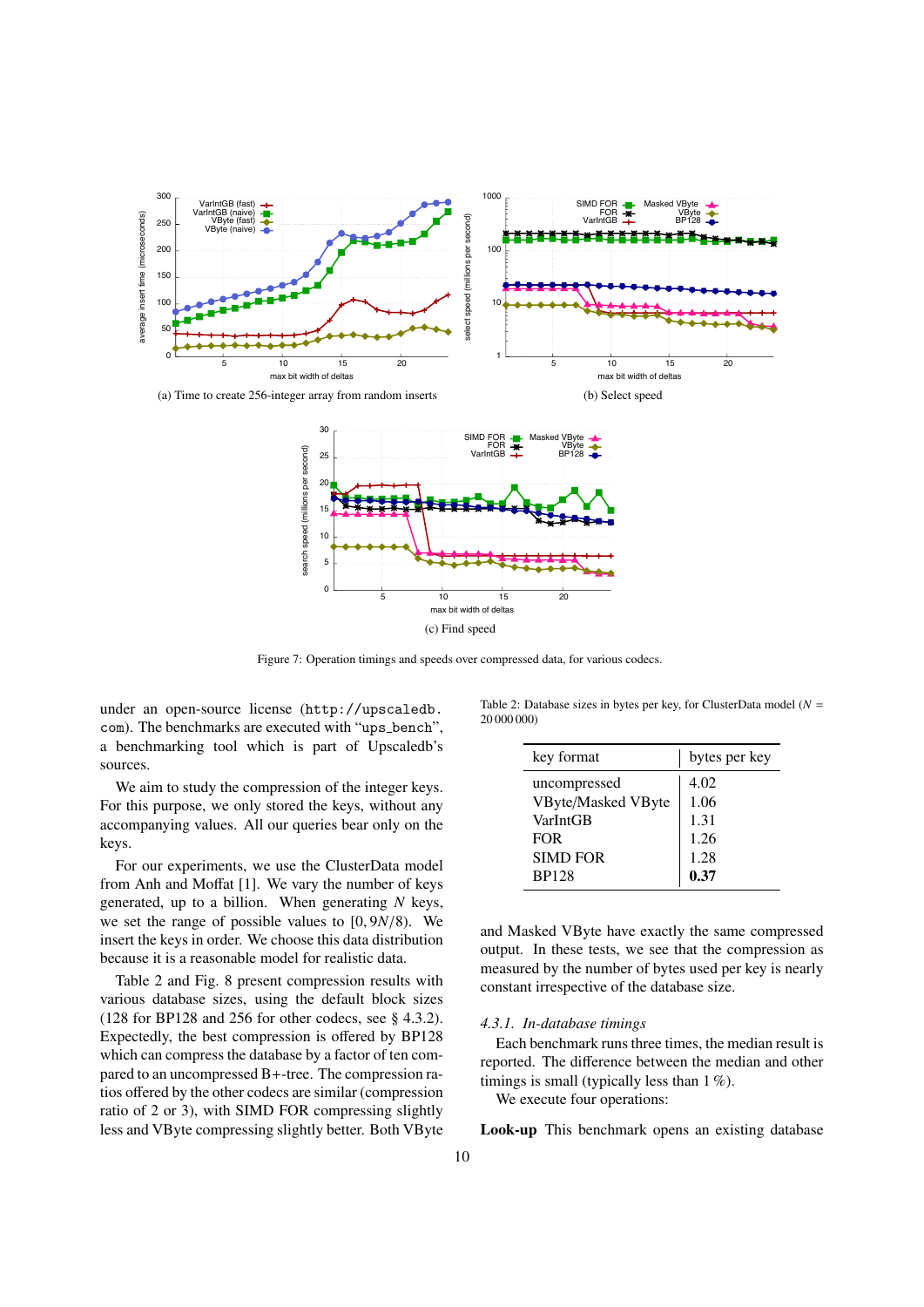



Figure 7: Operation timings and speeds over compressed data, for various codecs.

under an open-source license (http://upscaledb. com). The benchmarks are executed with "ups\_bench", a benchmarking tool which is part of Upscaledb's sources.

We aim to study the compression of the integer keys. For this purpose, we only stored the keys, without any accompanying values. All our queries bear only on the keys.

For our experiments, we use the ClusterData model from Anh and Moffat [1]. We vary the number of keys generated, up to a billion. When generating  $N$  keys, we set the range of possible values to  $[0, 9N/8)$ . We insert the keys in order. We choose this data distribution because it is a reasonable model for realistic data.

Table 2 and Fig. 8 present compression results with various database sizes, using the default block sizes  $(128$  for BP128 and 256 for other codecs, see § 4.3.2). Expectedly, the best compression is offered by BP128 which can compress the database by a factor of ten compared to an uncompressed B+-tree. The compression ratios offered by the other codecs are similar (compression ratio of 2 or 3), with SIMD FOR compressing slightly less and VByte compressing slightly better. Both VByte

Table 2: Database sizes in bytes per key, for ClusterData model ( $N =$ 20 000 000)

| key format                      | bytes per key |  |  |
|---------------------------------|---------------|--|--|
| uncompressed                    | 4.02          |  |  |
| VByte/Masked VByte<br>VarIntGB  | 1.06<br>1.31  |  |  |
| <b>FOR</b>                      | 1.26          |  |  |
| <b>SIMD FOR</b><br><b>BP128</b> | 1.28<br>0.37  |  |  |
|                                 |               |  |  |

and Masked VByte have exactly the same compressed output. In these tests, we see that the compression as measured by the number of bytes used per key is nearly constant irrespective of the database size.

#### 4.3.1. In-database timings

Each benchmark runs three times, the median result is reported. The difference between the median and other timings is small (typically less than  $1\%$ ).

We execute four operations:

Look-up This benchmark opens an existing database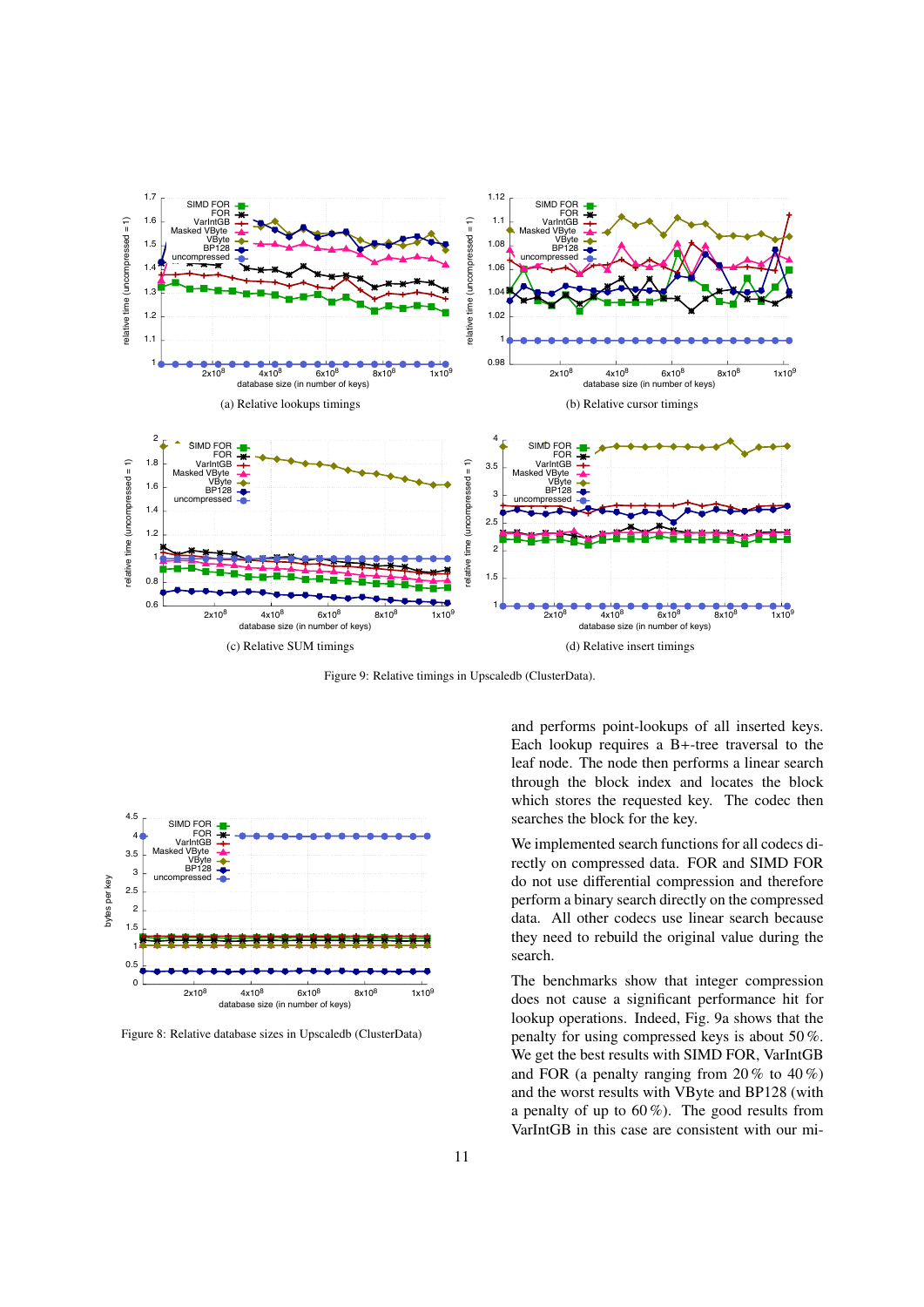

Figure 9: Relative timings in Upscaledb (ClusterData).



Figure 8: Relative database sizes in Upscaledb (ClusterData)

and performs point-lookups of all inserted keys. Each lookup requires a B+-tree traversal to the leaf node. The node then performs a linear search through the block index and locates the block which stores the requested key. The codec then searches the block for the key.

We implemented search functions for all codecs directly on compressed data. FOR and SIMD FOR do not use differential compression and therefore perform a binary search directly on the compressed data. All other codecs use linear search because they need to rebuild the original value during the search.

The benchmarks show that integer compression does not cause a significant performance hit for lookup operations. Indeed, Fig. 9a shows that the penalty for using compressed keys is about 50%. We get the best results with SIMD FOR, VarIntGB and FOR (a penalty ranging from  $20\%$  to  $40\%$ ) and the worst results with VByte and BP128 (with a penalty of up to  $60\%$ ). The good results from VarIntGB in this case are consistent with our mi-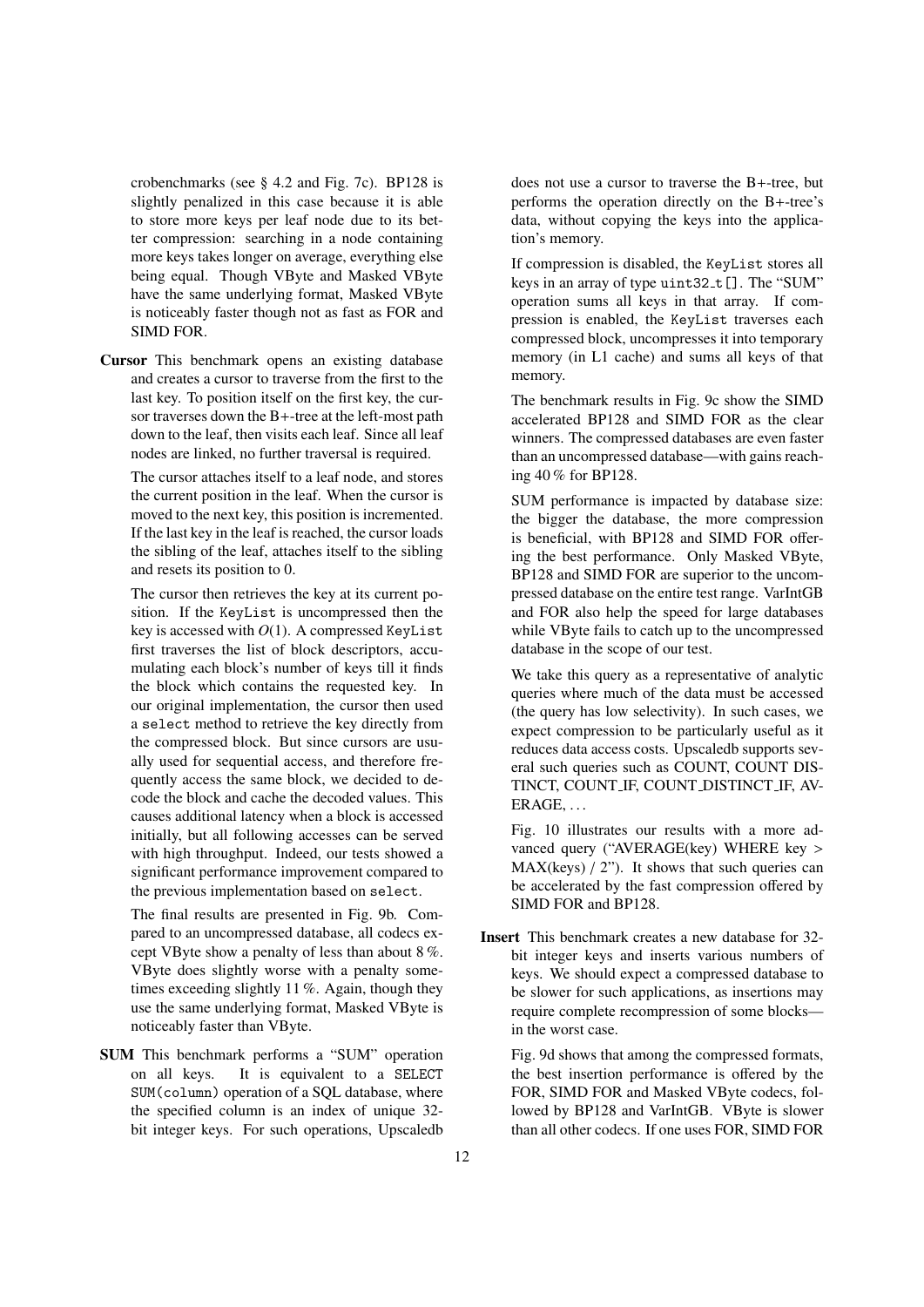crobenchmarks (see § 4.2 and Fig. 7c). BP128 is slightly penalized in this case because it is able to store more keys per leaf node due to its better compression: searching in a node containing more keys takes longer on average, everything else being equal. Though VByte and Masked VByte have the same underlying format, Masked VByte is noticeably faster though not as fast as FOR and SIMD FOR.

Cursor This benchmark opens an existing database and creates a cursor to traverse from the first to the last key. To position itself on the first key, the cursor traverses down the B+-tree at the left-most path down to the leaf, then visits each leaf. Since all leaf nodes are linked, no further traversal is required.

The cursor attaches itself to a leaf node, and stores the current position in the leaf. When the cursor is moved to the next key, this position is incremented. If the last key in the leaf is reached, the cursor loads the sibling of the leaf, attaches itself to the sibling and resets its position to 0.

The cursor then retrieves the key at its current position. If the KeyList is uncompressed then the key is accessed with *O*(1). A compressed KeyList first traverses the list of block descriptors, accumulating each block's number of keys till it finds the block which contains the requested key. In our original implementation, the cursor then used a select method to retrieve the key directly from the compressed block. But since cursors are usually used for sequential access, and therefore frequently access the same block, we decided to decode the block and cache the decoded values. This causes additional latency when a block is accessed initially, but all following accesses can be served with high throughput. Indeed, our tests showed a significant performance improvement compared to the previous implementation based on select.

The final results are presented in Fig. 9b. Compared to an uncompressed database, all codecs except VByte show a penalty of less than about 8 %. VByte does slightly worse with a penalty sometimes exceeding slightly 11 %. Again, though they use the same underlying format, Masked VByte is noticeably faster than VByte.

SUM This benchmark performs a "SUM" operation on all keys. It is equivalent to a SELECT SUM(column) operation of a SQL database, where the specified column is an index of unique 32 bit integer keys. For such operations, Upscaledb

does not use a cursor to traverse the B+-tree, but performs the operation directly on the B+-tree's data, without copying the keys into the application's memory.

If compression is disabled, the KeyList stores all keys in an array of type  $uint32_t[]$ . The "SUM" operation sums all keys in that array. If compression is enabled, the KeyList traverses each compressed block, uncompresses it into temporary memory (in L1 cache) and sums all keys of that memory.

The benchmark results in Fig. 9c show the SIMD accelerated BP128 and SIMD FOR as the clear winners. The compressed databases are even faster than an uncompressed database—with gains reaching 40 % for BP128.

SUM performance is impacted by database size: the bigger the database, the more compression is beneficial, with BP128 and SIMD FOR offering the best performance. Only Masked VByte, BP128 and SIMD FOR are superior to the uncompressed database on the entire test range. VarIntGB and FOR also help the speed for large databases while VByte fails to catch up to the uncompressed database in the scope of our test.

We take this query as a representative of analytic queries where much of the data must be accessed (the query has low selectivity). In such cases, we expect compression to be particularly useful as it reduces data access costs. Upscaledb supports several such queries such as COUNT, COUNT DIS-TINCT, COUNT IF, COUNT DISTINCT IF, AV-ERAGE, . . .

Fig. 10 illustrates our results with a more advanced query ("AVERAGE(key) WHERE key >  $MAX(keys) / 2"$ . It shows that such queries can be accelerated by the fast compression offered by SIMD FOR and BP128.

Insert This benchmark creates a new database for 32 bit integer keys and inserts various numbers of keys. We should expect a compressed database to be slower for such applications, as insertions may require complete recompression of some blocks in the worst case.

Fig. 9d shows that among the compressed formats, the best insertion performance is offered by the FOR, SIMD FOR and Masked VByte codecs, followed by BP128 and VarIntGB. VByte is slower than all other codecs. If one uses FOR, SIMD FOR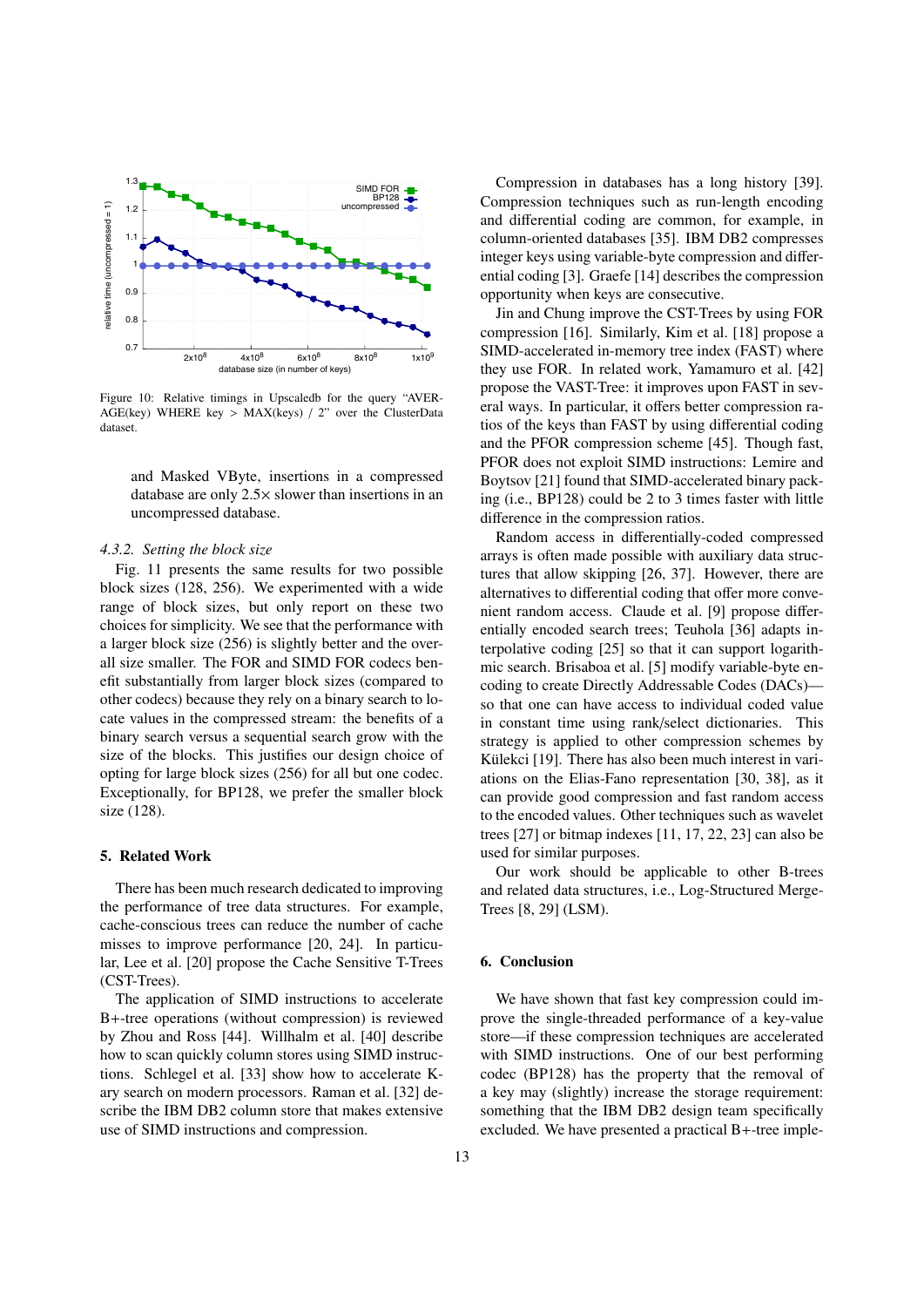

Figure 10: Relative timings in Upscaledb for the query "AVER-AGE(key) WHERE key > MAX(keys) / 2" over the ClusterData dataset.

and Masked VByte, insertions in a compressed database are only  $2.5 \times$  slower than insertions in an uncompressed database.

## 4.3.2. Setting the block size

Fig. 11 presents the same results for two possible block sizes (128, 256). We experimented with a wide range of block sizes, but only report on these two choices for simplicity. We see that the performance with a larger block size (256) is slightly better and the overall size smaller. The FOR and SIMD FOR codecs benefit substantially from larger block sizes (compared to other codecs) because they rely on a binary search to locate values in the compressed stream: the benefits of a binary search versus a sequential search grow with the size of the blocks. This justifies our design choice of opting for large block sizes (256) for all but one codec. Exceptionally, for BP128, we prefer the smaller block size (128).

#### 5. Related Work

There has been much research dedicated to improving the performance of tree data structures. For example, cache-conscious trees can reduce the number of cache misses to improve performance [20, 24]. In particular. Lee et al. [20] propose the Cache Sensitive T-Trees (CST-Trees).

The application of SIMD instructions to accelerate B+-tree operations (without compression) is reviewed by Zhou and Ross [44]. Willhalm et al. [40] describe how to scan quickly column stores using SIMD instructions. Schlegel et al. [33] show how to accelerate Kary search on modern processors. Raman et al. [32] describe the IBM DB2 column store that makes extensive use of SIMD instructions and compression.

Compression in databases has a long history [39]. Compression techniques such as run-length encoding and differential coding are common, for example, in column-oriented databases [35]. IBM DB2 compresses integer keys using variable-byte compression and differential coding [3]. Graefe [14] describes the compression opportunity when keys are consecutive.

Jin and Chung improve the CST-Trees by using FOR compression [16]. Similarly, Kim et al. [18] propose a SIMD-accelerated in-memory tree index (FAST) where they use FOR. In related work, Yamamuro et al. [42] propose the VAST-Tree: it improves upon FAST in several ways. In particular, it offers better compression ratios of the keys than FAST by using differential coding and the PFOR compression scheme [45]. Though fast, PFOR does not exploit SIMD instructions: Lemire and Boytsov [21] found that SIMD-accelerated binary packing (i.e., BP128) could be 2 to 3 times faster with little difference in the compression ratios.

Random access in differentially-coded compressed arrays is often made possible with auxiliary data structures that allow skipping [26, 37]. However, there are alternatives to differential coding that offer more convenient random access. Claude et al. [9] propose differentially encoded search trees; Teuhola [36] adapts interpolative coding [25] so that it can support logarithmic search. Brisaboa et al. [5] modify variable-byte encoding to create Directly Addressable Codes (DACs)so that one can have access to individual coded value in constant time using rank/select dictionaries. This strategy is applied to other compression schemes by Külekci [19]. There has also been much interest in variations on the Elias-Fano representation [30, 38], as it can provide good compression and fast random access to the encoded values. Other techniques such as wavelet trees  $[27]$  or bitmap indexes  $[11, 17, 22, 23]$  can also be used for similar purposes.

Our work should be applicable to other B-trees and related data structures, i.e., Log-Structured Merge-Trees [8, 29] (LSM).

## 6. Conclusion

We have shown that fast key compression could improve the single-threaded performance of a key-value store—if these compression techniques are accelerated with SIMD instructions. One of our best performing codec (BP128) has the property that the removal of a key may (slightly) increase the storage requirement: something that the IBM DB2 design team specifically excluded. We have presented a practical B+-tree imple-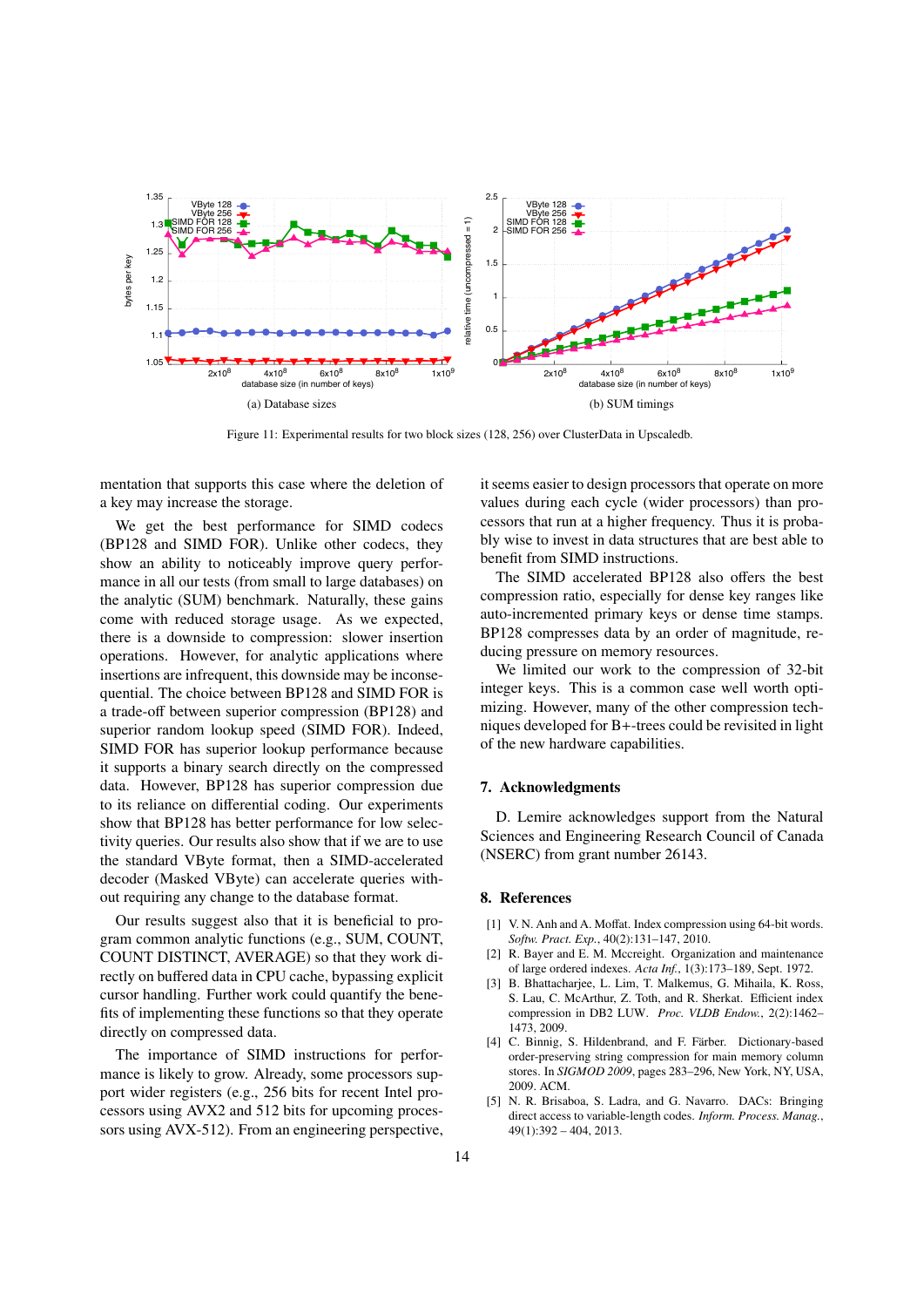

Figure 11: Experimental results for two block sizes (128, 256) over ClusterData in Upscaledb.

mentation that supports this case where the deletion of a key may increase the storage.

We get the best performance for SIMD codecs (BP128 and SIMD FOR). Unlike other codecs, they show an ability to noticeably improve query performance in all our tests (from small to large databases) on the analytic (SUM) benchmark. Naturally, these gains come with reduced storage usage. As we expected, there is a downside to compression: slower insertion operations. However, for analytic applications where insertions are infrequent, this downside may be inconsequential. The choice between BP128 and SIMD FOR is a trade-off between superior compression (BP128) and superior random lookup speed (SIMD FOR). Indeed, SIMD FOR has superior lookup performance because it supports a binary search directly on the compressed data. However, BP128 has superior compression due to its reliance on differential coding. Our experiments show that BP128 has better performance for low selectivity queries. Our results also show that if we are to use the standard VByte format, then a SIMD-accelerated decoder (Masked VByte) can accelerate queries without requiring any change to the database format.

Our results suggest also that it is beneficial to program common analytic functions (e.g., SUM, COUNT, COUNT DISTINCT, AVERAGE) so that they work directly on buffered data in CPU cache, bypassing explicit cursor handling. Further work could quantify the benefits of implementing these functions so that they operate directly on compressed data.

The importance of SIMD instructions for performance is likely to grow. Already, some processors support wider registers (e.g., 256 bits for recent Intel processors using AVX2 and 512 bits for upcoming processors using AVX-512). From an engineering perspective, it seems easier to design processors that operate on more values during each cycle (wider processors) than processors that run at a higher frequency. Thus it is probably wise to invest in data structures that are best able to benefit from SIMD instructions.

The SIMD accelerated BP128 also offers the best compression ratio, especially for dense key ranges like auto-incremented primary keys or dense time stamps. BP128 compresses data by an order of magnitude, reducing pressure on memory resources.

We limited our work to the compression of 32-bit integer keys. This is a common case well worth optimizing. However, many of the other compression techniques developed for B+-trees could be revisited in light of the new hardware capabilities.

### 7. Acknowledgments

D. Lemire acknowledges support from the Natural Sciences and Engineering Research Council of Canada (NSERC) from grant number 26143.

#### 8. References

- [1] V. N. Anh and A. Moffat. Index compression using 64-bit words. Softw. Pract. Exp., 40(2):131-147, 2010.
- [2] R. Bayer and E. M. Mccreight. Organization and maintenance of large ordered indexes. Acta Inf., 1(3):173-189, Sept. 1972.
- [3] B. Bhattacharjee, L. Lim, T. Malkemus, G. Mihaila, K. Ross. S. Lau, C. McArthur, Z. Toth, and R. Sherkat. Efficient index compression in DB2 LUW. Proc. VLDB Endow., 2(2):1462-1473, 2009
- [4] C. Binnig, S. Hildenbrand, and F. Färber. Dictionary-based order-preserving string compression for main memory column stores. In SIGMOD 2009, pages 283-296, New York, NY, USA, 2009 ACM
- [5] N. R. Brisaboa, S. Ladra, and G. Navarro. DACs: Bringing direct access to variable-length codes. Inform. Process. Manag.,  $49(1):392 - 404, 2013.$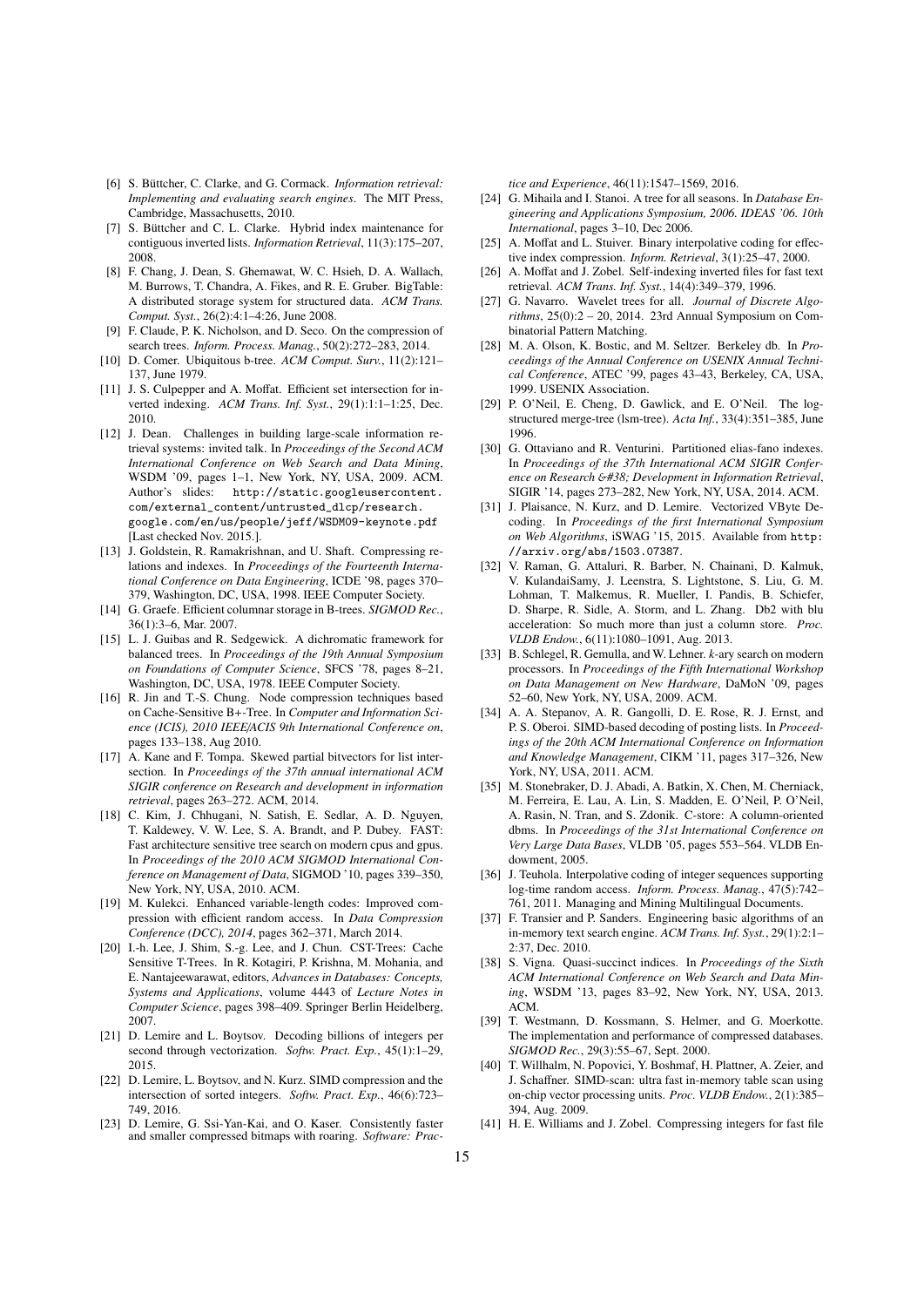- [6] S. Büttcher, C. Clarke, and G. Cormack. *Information retrieval: Implementing and evaluating search engines*. The MIT Press, Cambridge, Massachusetts, 2010.
- [7] S. Büttcher and C. L. Clarke. Hybrid index maintenance for contiguous inverted lists. *Information Retrieval*, 11(3):175–207, 2008.
- [8] F. Chang, J. Dean, S. Ghemawat, W. C. Hsieh, D. A. Wallach, M. Burrows, T. Chandra, A. Fikes, and R. E. Gruber. BigTable: A distributed storage system for structured data. *ACM Trans. Comput. Syst.*, 26(2):4:1–4:26, June 2008.
- [9] F. Claude, P. K. Nicholson, and D. Seco. On the compression of search trees. *Inform. Process. Manag.*, 50(2):272–283, 2014.
- [10] D. Comer. Ubiquitous b-tree. *ACM Comput. Surv.*, 11(2):121– 137, June 1979.
- [11] J. S. Culpepper and A. Moffat. Efficient set intersection for inverted indexing. *ACM Trans. Inf. Syst.*, 29(1):1:1–1:25, Dec. 2010.
- [12] J. Dean. Challenges in building large-scale information retrieval systems: invited talk. In *Proceedings of the Second ACM International Conference on Web Search and Data Mining*, WSDM '09, pages 1–1, New York, NY, USA, 2009. ACM. Author's slides: http://static.googleusercontent. com/external\_content/untrusted\_dlcp/research. google.com/en/us/people/jeff/WSDM09-keynote.pdf [Last checked Nov. 2015.].
- [13] J. Goldstein, R. Ramakrishnan, and U. Shaft. Compressing relations and indexes. In *Proceedings of the Fourteenth International Conference on Data Engineering*, ICDE '98, pages 370– 379, Washington, DC, USA, 1998. IEEE Computer Society.
- [14] G. Graefe. Efficient columnar storage in B-trees. *SIGMOD Rec.*, 36(1):3–6, Mar. 2007.
- [15] L. J. Guibas and R. Sedgewick. A dichromatic framework for balanced trees. In *Proceedings of the 19th Annual Symposium on Foundations of Computer Science*, SFCS '78, pages 8–21, Washington, DC, USA, 1978. IEEE Computer Society.
- [16] R. Jin and T.-S. Chung. Node compression techniques based on Cache-Sensitive B+-Tree. In *Computer and Information Science (ICIS), 2010 IEEE*/*ACIS 9th International Conference on*, pages 133–138, Aug 2010.
- [17] A. Kane and F. Tompa. Skewed partial bitvectors for list intersection. In *Proceedings of the 37th annual international ACM SIGIR conference on Research and development in information retrieval*, pages 263–272. ACM, 2014.
- [18] C. Kim, J. Chhugani, N. Satish, E. Sedlar, A. D. Nguyen, T. Kaldewey, V. W. Lee, S. A. Brandt, and P. Dubey. FAST: Fast architecture sensitive tree search on modern cpus and gpus. In *Proceedings of the 2010 ACM SIGMOD International Conference on Management of Data*, SIGMOD '10, pages 339–350, New York, NY, USA, 2010. ACM.
- [19] M. Kulekci. Enhanced variable-length codes: Improved compression with efficient random access. In *Data Compression Conference (DCC), 2014*, pages 362–371, March 2014.
- [20] I.-h. Lee, J. Shim, S.-g. Lee, and J. Chun. CST-Trees: Cache Sensitive T-Trees. In R. Kotagiri, P. Krishna, M. Mohania, and E. Nantajeewarawat, editors, *Advances in Databases: Concepts, Systems and Applications*, volume 4443 of *Lecture Notes in Computer Science*, pages 398–409. Springer Berlin Heidelberg, 2007.
- [21] D. Lemire and L. Boytsov. Decoding billions of integers per second through vectorization. *Softw. Pract. Exp.*, 45(1):1–29, 2015.
- [22] D. Lemire, L. Boytsov, and N. Kurz. SIMD compression and the intersection of sorted integers. *Softw. Pract. Exp.*, 46(6):723– 749, 2016.
- [23] D. Lemire, G. Ssi-Yan-Kai, and O. Kaser. Consistently faster and smaller compressed bitmaps with roaring. *Software: Prac-*

*tice and Experience*, 46(11):1547–1569, 2016.

- [24] G. Mihaila and I. Stanoi. A tree for all seasons. In *Database Engineering and Applications Symposium, 2006. IDEAS '06. 10th International*, pages 3–10, Dec 2006.
- [25] A. Moffat and L. Stuiver. Binary interpolative coding for effective index compression. *Inform. Retrieval*, 3(1):25–47, 2000.
- [26] A. Moffat and J. Zobel. Self-indexing inverted files for fast text retrieval. *ACM Trans. Inf. Syst.*, 14(4):349–379, 1996.
- [27] G. Navarro. Wavelet trees for all. *Journal of Discrete Algorithms*, 25(0):2 – 20, 2014. 23rd Annual Symposium on Combinatorial Pattern Matching.
- [28] M. A. Olson, K. Bostic, and M. Seltzer. Berkeley db. In *Proceedings of the Annual Conference on USENIX Annual Technical Conference*, ATEC '99, pages 43–43, Berkeley, CA, USA, 1999. USENIX Association.
- [29] P. O'Neil, E. Cheng, D. Gawlick, and E. O'Neil. The logstructured merge-tree (lsm-tree). *Acta Inf.*, 33(4):351–385, June 1996.
- [30] G. Ottaviano and R. Venturini. Partitioned elias-fano indexes. In *Proceedings of the 37th International ACM SIGIR Conference on Research* &*#38; Development in Information Retrieval*, SIGIR '14, pages 273–282, New York, NY, USA, 2014. ACM.
- [31] J. Plaisance, N. Kurz, and D. Lemire. Vectorized VByte Decoding. In *Proceedings of the first International Symposium on Web Algorithms*, iSWAG '15, 2015. Available from http: //arxiv.org/abs/1503.07387.
- [32] V. Raman, G. Attaluri, R. Barber, N. Chainani, D. Kalmuk, V. KulandaiSamy, J. Leenstra, S. Lightstone, S. Liu, G. M. Lohman, T. Malkemus, R. Mueller, I. Pandis, B. Schiefer, D. Sharpe, R. Sidle, A. Storm, and L. Zhang. Db2 with blu acceleration: So much more than just a column store. *Proc. VLDB Endow.*, 6(11):1080–1091, Aug. 2013.
- [33] B. Schlegel, R. Gemulla, and W. Lehner. *k*-ary search on modern processors. In *Proceedings of the Fifth International Workshop on Data Management on New Hardware*, DaMoN '09, pages 52–60, New York, NY, USA, 2009. ACM.
- [34] A. A. Stepanov, A. R. Gangolli, D. E. Rose, R. J. Ernst, and P. S. Oberoi. SIMD-based decoding of posting lists. In *Proceedings of the 20th ACM International Conference on Information and Knowledge Management*, CIKM '11, pages 317–326, New York, NY, USA, 2011. ACM.
- [35] M. Stonebraker, D. J. Abadi, A. Batkin, X. Chen, M. Cherniack, M. Ferreira, E. Lau, A. Lin, S. Madden, E. O'Neil, P. O'Neil, A. Rasin, N. Tran, and S. Zdonik. C-store: A column-oriented dbms. In *Proceedings of the 31st International Conference on Very Large Data Bases*, VLDB '05, pages 553–564. VLDB Endowment, 2005.
- [36] J. Teuhola. Interpolative coding of integer sequences supporting log-time random access. *Inform. Process. Manag.*, 47(5):742– 761, 2011. Managing and Mining Multilingual Documents.
- [37] F. Transier and P. Sanders. Engineering basic algorithms of an in-memory text search engine. *ACM Trans. Inf. Syst.*, 29(1):2:1– 2:37, Dec. 2010.
- [38] S. Vigna. Quasi-succinct indices. In *Proceedings of the Sixth ACM International Conference on Web Search and Data Mining*, WSDM '13, pages 83–92, New York, NY, USA, 2013. ACM.
- [39] T. Westmann, D. Kossmann, S. Helmer, and G. Moerkotte. The implementation and performance of compressed databases. *SIGMOD Rec.*, 29(3):55–67, Sept. 2000.
- [40] T. Willhalm, N. Popovici, Y. Boshmaf, H. Plattner, A. Zeier, and J. Schaffner. SIMD-scan: ultra fast in-memory table scan using on-chip vector processing units. *Proc. VLDB Endow.*, 2(1):385– 394, Aug. 2009.
- [41] H. E. Williams and J. Zobel. Compressing integers for fast file